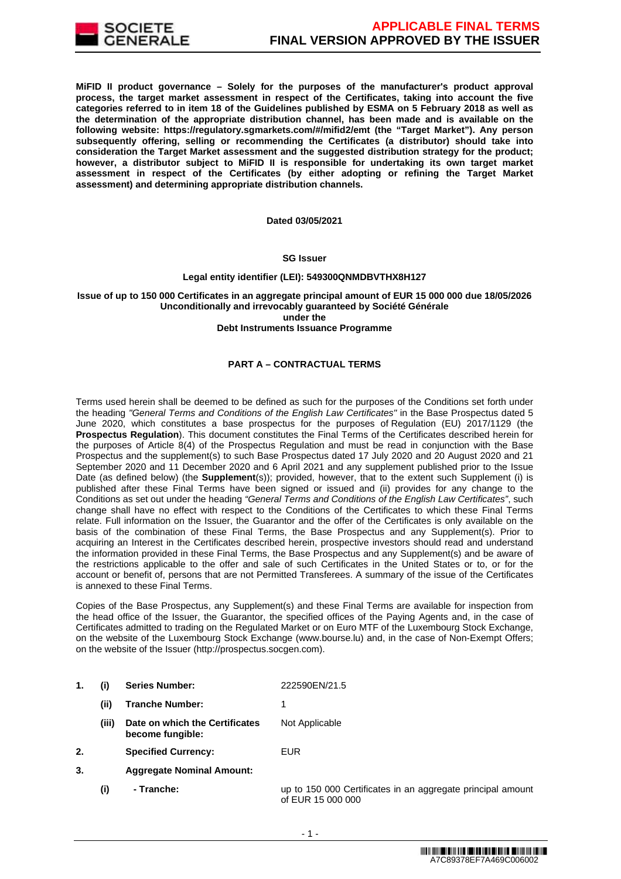

**MiFID II product governance – Solely for the purposes of the manufacturer's product approval process, the target market assessment in respect of the Certificates, taking into account the five categories referred to in item 18 of the Guidelines published by ESMA on 5 February 2018 as well as the determination of the appropriate distribution channel, has been made and is available on the following website: https://regulatory.sgmarkets.com/#/mifid2/emt (the "Target Market"). Any person subsequently offering, selling or recommending the Certificates (a distributor) should take into consideration the Target Market assessment and the suggested distribution strategy for the product; however, a distributor subject to MiFID II is responsible for undertaking its own target market assessment in respect of the Certificates (by either adopting or refining the Target Market assessment) and determining appropriate distribution channels.**

#### **Dated 03/05/2021**

### **SG Issuer**

# **Legal entity identifier (LEI): 549300QNMDBVTHX8H127**

# **Issue of up to 150 000 Certificates in an aggregate principal amount of EUR 15 000 000 due 18/05/2026 Unconditionally and irrevocably guaranteed by Société Générale under the**

#### **Debt Instruments Issuance Programme**

# **PART A – CONTRACTUAL TERMS**

Terms used herein shall be deemed to be defined as such for the purposes of the Conditions set forth under the heading "General Terms and Conditions of the English Law Certificates" in the Base Prospectus dated 5 June 2020, which constitutes a base prospectus for the purposes of Regulation (EU) 2017/1129 (the **Prospectus Regulation**). This document constitutes the Final Terms of the Certificates described herein for the purposes of Article 8(4) of the Prospectus Regulation and must be read in conjunction with the Base Prospectus and the supplement(s) to such Base Prospectus dated 17 July 2020 and 20 August 2020 and 21 September 2020 and 11 December 2020 and 6 April 2021 and any supplement published prior to the Issue Date (as defined below) (the **Supplement**(s)); provided, however, that to the extent such Supplement (i) is published after these Final Terms have been signed or issued and (ii) provides for any change to the Conditions as set out under the heading "General Terms and Conditions of the English Law Certificates", such change shall have no effect with respect to the Conditions of the Certificates to which these Final Terms relate. Full information on the Issuer, the Guarantor and the offer of the Certificates is only available on the basis of the combination of these Final Terms, the Base Prospectus and any Supplement(s). Prior to acquiring an Interest in the Certificates described herein, prospective investors should read and understand the information provided in these Final Terms, the Base Prospectus and any Supplement(s) and be aware of the restrictions applicable to the offer and sale of such Certificates in the United States or to, or for the account or benefit of, persons that are not Permitted Transferees. A summary of the issue of the Certificates is annexed to these Final Terms.

Copies of the Base Prospectus, any Supplement(s) and these Final Terms are available for inspection from the head office of the Issuer, the Guarantor, the specified offices of the Paying Agents and, in the case of Certificates admitted to trading on the Regulated Market or on Euro MTF of the Luxembourg Stock Exchange, on the website of the Luxembourg Stock Exchange (www.bourse.lu) and, in the case of Non-Exempt Offers; on the website of the Issuer (http://prospectus.socgen.com).

- **1. (i) Series Number:** 222590EN/21.5
	- **(ii) Tranche Number:** 1
	- **(iii) Date on which the Certificates become fungible:** Not Applicable
- **2. Specified Currency:** EUR
- **3. Aggregate Nominal Amount:**
	- **(i) Tranche:** up to 150 000 Certificates in an aggregate principal amount of EUR 15 000 000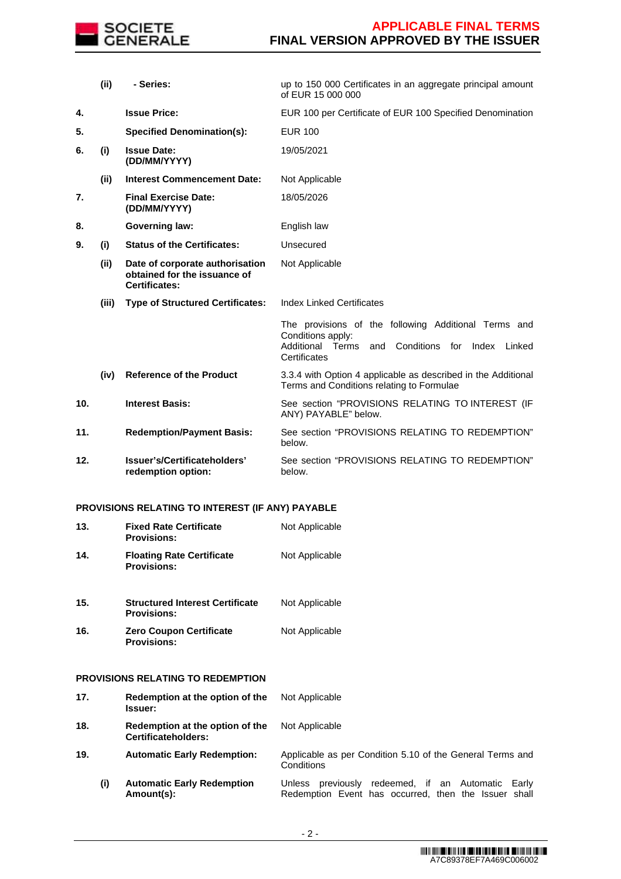

|     | (ii)  | - Series:                                                                               | up to 150 000 Certificates in an aggregate principal amount<br>of EUR 15 000 000                                                                          |
|-----|-------|-----------------------------------------------------------------------------------------|-----------------------------------------------------------------------------------------------------------------------------------------------------------|
| 4.  |       | <b>Issue Price:</b>                                                                     | EUR 100 per Certificate of EUR 100 Specified Denomination                                                                                                 |
| 5.  |       | <b>Specified Denomination(s):</b>                                                       | <b>EUR 100</b>                                                                                                                                            |
| 6.  | (i)   | <b>Issue Date:</b><br>(DD/MM/YYYY)                                                      | 19/05/2021                                                                                                                                                |
|     | (ii)  | <b>Interest Commencement Date:</b>                                                      | Not Applicable                                                                                                                                            |
| 7.  |       | <b>Final Exercise Date:</b><br>(DD/MM/YYYY)                                             | 18/05/2026                                                                                                                                                |
| 8.  |       | <b>Governing law:</b>                                                                   | English law                                                                                                                                               |
| 9.  | (i)   | <b>Status of the Certificates:</b>                                                      | Unsecured                                                                                                                                                 |
|     | (ii)  | Date of corporate authorisation<br>obtained for the issuance of<br><b>Certificates:</b> | Not Applicable                                                                                                                                            |
|     | (iii) | <b>Type of Structured Certificates:</b>                                                 | <b>Index Linked Certificates</b>                                                                                                                          |
|     |       |                                                                                         | The provisions of the following Additional Terms and<br>Conditions apply:<br>Conditions<br>for Index<br>Additional Terms<br>and<br>Linked<br>Certificates |
|     | (iv)  | <b>Reference of the Product</b>                                                         | 3.3.4 with Option 4 applicable as described in the Additional<br>Terms and Conditions relating to Formulae                                                |
| 10. |       | <b>Interest Basis:</b>                                                                  | See section "PROVISIONS RELATING TO INTEREST (IF<br>ANY) PAYABLE" below.                                                                                  |
| 11. |       | <b>Redemption/Payment Basis:</b>                                                        | See section "PROVISIONS RELATING TO REDEMPTION"<br>below.                                                                                                 |
| 12. |       | Issuer's/Certificateholders'<br>redemption option:                                      | See section "PROVISIONS RELATING TO REDEMPTION"<br>below.                                                                                                 |

# **PROVISIONS RELATING TO INTEREST (IF ANY) PAYABLE**

| 13. | <b>Fixed Rate Certificate</b><br><b>Provisions:</b>          | Not Applicable |
|-----|--------------------------------------------------------------|----------------|
| 14. | <b>Floating Rate Certificate</b><br><b>Provisions:</b>       | Not Applicable |
| 15. | <b>Structured Interest Certificate</b><br><b>Provisions:</b> | Not Applicable |
| 16. | <b>Zero Coupon Certificate</b><br><b>Provisions:</b>         | Not Applicable |

# **PROVISIONS RELATING TO REDEMPTION**

**17. Redemption at the option of the Issuer:** Not Applicable **18. Redemption at the option of the Certificateholders:** Not Applicable **19. Automatic Early Redemption:** Applicable as per Condition 5.10 of the General Terms and Conditions **(i) Automatic Early Redemption Amount(s):** Unless previously redeemed, if an Automatic Early Redemption Event has occurred, then the Issuer shall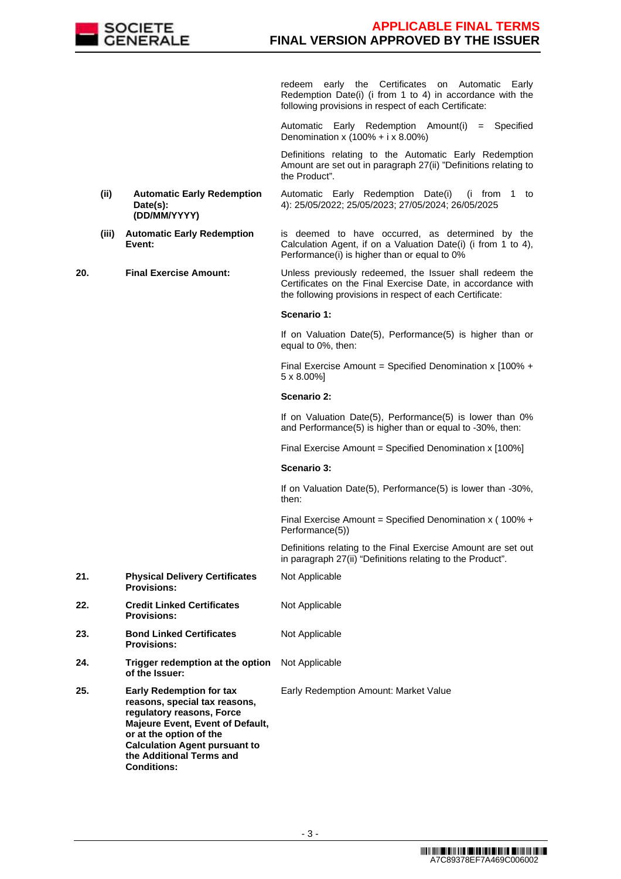

redeem early the Certificates on Automatic Early Redemption Date(i) (i from 1 to 4) in accordance with the following provisions in respect of each Certificate:

Automatic Early Redemption Amount(i) = Specified Denomination x (100% + i x 8.00%)

 Definitions relating to the Automatic Early Redemption Amount are set out in paragraph 27(ii) "Definitions relating to the Product".

- **(ii) Automatic Early Redemption Date(s): (DD/MM/YYYY)** Automatic Early Redemption Date(i) (i from 1 to 4): 25/05/2022; 25/05/2023; 27/05/2024; 26/05/2025
- **(iii) Automatic Early Redemption Event:** is deemed to have occurred, as determined by the Calculation Agent, if on a Valuation Date(i) (i from 1 to 4), Performance(i) is higher than or equal to 0%

**20. Final Exercise Amount:** Unless previously redeemed, the Issuer shall redeem the Certificates on the Final Exercise Date, in accordance with the following provisions in respect of each Certificate:

### **Scenario 1:**

If on Valuation Date(5), Performance(5) is higher than or equal to 0%, then:

Final Exercise Amount = Specified Denomination x [100% + 5 x 8.00%]

### **Scenario 2:**

If on Valuation Date(5), Performance(5) is lower than 0% and Performance(5) is higher than or equal to -30%, then:

Final Exercise Amount = Specified Denomination x [100%]

#### **Scenario 3:**

If on Valuation Date(5), Performance(5) is lower than -30%, then:

Final Exercise Amount = Specified Denomination x ( 100% + Performance(5))

 Definitions relating to the Final Exercise Amount are set out in paragraph 27(ii) "Definitions relating to the Product".

**21. Physical Delivery Certificates Provisions:** Not Applicable **22. Credit Linked Certificates Provisions:** Not Applicable **23. Bond Linked Certificates Provisions:** Not Applicable **24. Trigger redemption at the option of the Issuer:** Not Applicable **25. Early Redemption for tax reasons, special tax reasons, regulatory reasons, Force Majeure Event, Event of Default, or at the option of the Calculation Agent pursuant to the Additional Terms and Conditions:** Early Redemption Amount: Market Value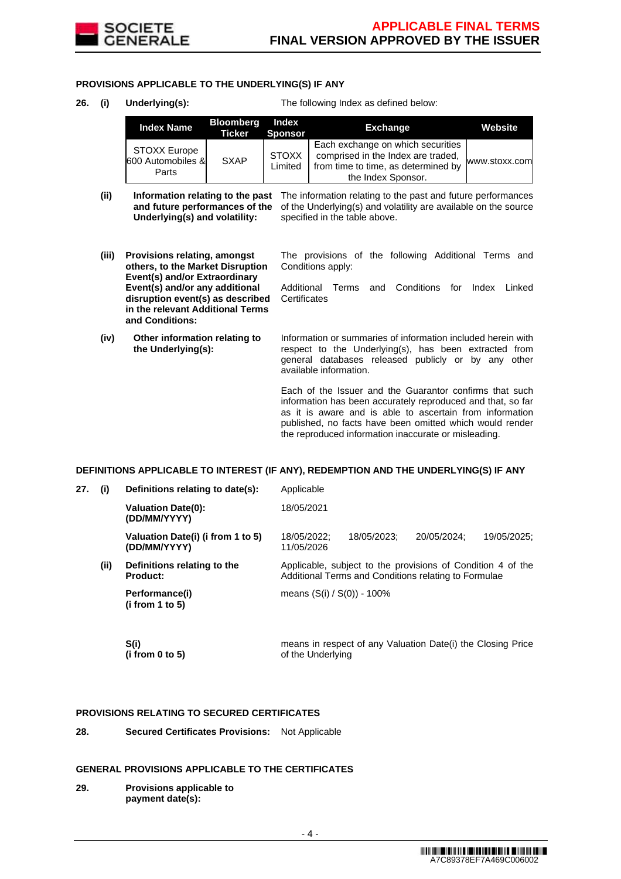

### **PROVISIONS APPLICABLE TO THE UNDERLYING(S) IF ANY**

**26. (i) Underlying(s):** The following Index as defined below:

| <b>Index Name</b>                                 | <b>Bloomberg</b><br>Ticker | Index<br><b>Sponsor</b> | <b>Exchange</b>                                                                                                                      | Website       |
|---------------------------------------------------|----------------------------|-------------------------|--------------------------------------------------------------------------------------------------------------------------------------|---------------|
| <b>STOXX Europe</b><br>600 Automobiles &<br>Parts | <b>SXAP</b>                | <b>STOXX</b><br>Limited | Each exchange on which securities<br>comprised in the Index are traded.<br>from time to time, as determined by<br>the Index Sponsor. | www.stoxx.com |

- (ii) **Information relating to the past** The information relating to the past and future performances **and future performances of the** of the Underlying(s) and volatility are available on the source **Underlying(s) and volatility:** specified in the table above.
- **(iii) Provisions relating, amongst others, to the Market Disruption Event(s) and/or Extraordinary Event(s) and/or any additional disruption event(s) as described in the relevant Additional Terms and Conditions:**
- **(iv) Other information relating to the Underlying(s):**

The provisions of the following Additional Terms and Conditions apply:

Additional Terms and Conditions for Index Linked **Certificates** 

Information or summaries of information included herein with respect to the Underlying(s), has been extracted from general databases released publicly or by any other available information.

Each of the Issuer and the Guarantor confirms that such information has been accurately reproduced and that, so far as it is aware and is able to ascertain from information published, no facts have been omitted which would render the reproduced information inaccurate or misleading.

#### **DEFINITIONS APPLICABLE TO INTEREST (IF ANY), REDEMPTION AND THE UNDERLYING(S) IF ANY**

| 27. | (i)  | Definitions relating to date(s):                  | Applicable                                           |                                                             |             |             |  |
|-----|------|---------------------------------------------------|------------------------------------------------------|-------------------------------------------------------------|-------------|-------------|--|
|     |      | <b>Valuation Date(0):</b><br>(DD/MM/YYYY)         | 18/05/2021                                           |                                                             |             |             |  |
|     |      | Valuation Date(i) (i from 1 to 5)<br>(DD/MM/YYYY) | 18/05/2022:<br>11/05/2026                            | 18/05/2023:                                                 | 20/05/2024: | 19/05/2025: |  |
|     | (ii) | Definitions relating to the<br>Product:           | Additional Terms and Conditions relating to Formulae | Applicable, subject to the provisions of Condition 4 of the |             |             |  |
|     |      | Performance(i)<br>(i from 1 to 5)                 | means $(S(i) / S(0)) - 100\%$                        |                                                             |             |             |  |
|     |      |                                                   |                                                      |                                                             |             |             |  |

 **S(i) (i from 0 to 5)**  means in respect of any Valuation Date(i) the Closing Price of the Underlying

### **PROVISIONS RELATING TO SECURED CERTIFICATES**

**28. Secured Certificates Provisions:** Not Applicable

#### **GENERAL PROVISIONS APPLICABLE TO THE CERTIFICATES**

**29. Provisions applicable to payment date(s):**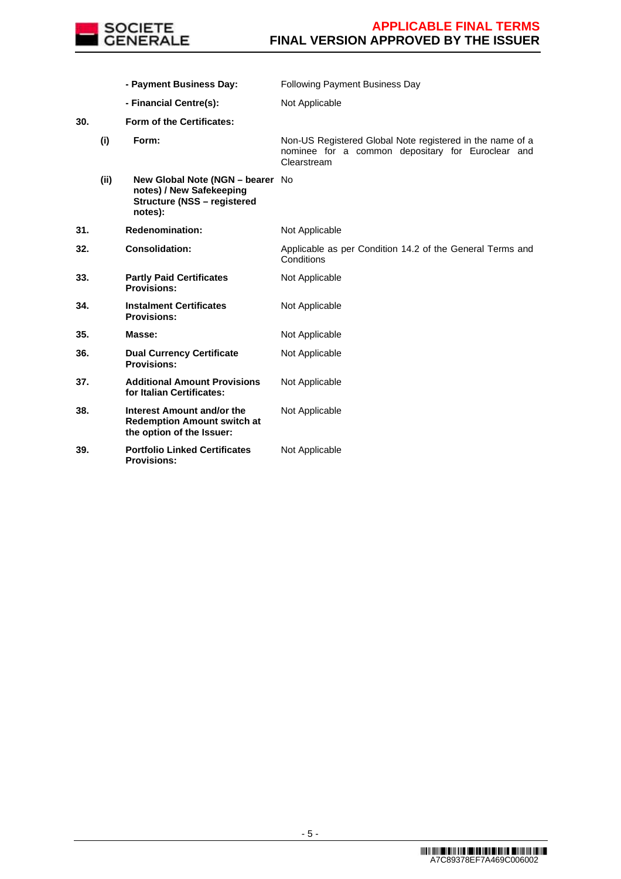

|     |      | - Payment Business Day:                                                                                       | <b>Following Payment Business Day</b>                                                                                         |
|-----|------|---------------------------------------------------------------------------------------------------------------|-------------------------------------------------------------------------------------------------------------------------------|
|     |      | - Financial Centre(s):                                                                                        | Not Applicable                                                                                                                |
| 30. |      | Form of the Certificates:                                                                                     |                                                                                                                               |
|     | (i)  | Form:                                                                                                         | Non-US Registered Global Note registered in the name of a<br>nominee for a common depositary for Euroclear and<br>Clearstream |
|     | (ii) | New Global Note (NGN - bearer No<br>notes) / New Safekeeping<br><b>Structure (NSS - registered</b><br>notes): |                                                                                                                               |
| 31. |      | <b>Redenomination:</b>                                                                                        | Not Applicable                                                                                                                |
| 32. |      | <b>Consolidation:</b>                                                                                         | Applicable as per Condition 14.2 of the General Terms and<br>Conditions                                                       |
| 33. |      | <b>Partly Paid Certificates</b><br><b>Provisions:</b>                                                         | Not Applicable                                                                                                                |
| 34. |      | <b>Instalment Certificates</b><br><b>Provisions:</b>                                                          | Not Applicable                                                                                                                |
| 35. |      | Masse:                                                                                                        | Not Applicable                                                                                                                |
| 36. |      | <b>Dual Currency Certificate</b><br><b>Provisions:</b>                                                        | Not Applicable                                                                                                                |
| 37. |      | <b>Additional Amount Provisions</b><br>for Italian Certificates:                                              | Not Applicable                                                                                                                |
| 38. |      | Interest Amount and/or the<br><b>Redemption Amount switch at</b><br>the option of the Issuer:                 | Not Applicable                                                                                                                |
| 39. |      | <b>Portfolio Linked Certificates</b><br><b>Provisions:</b>                                                    | Not Applicable                                                                                                                |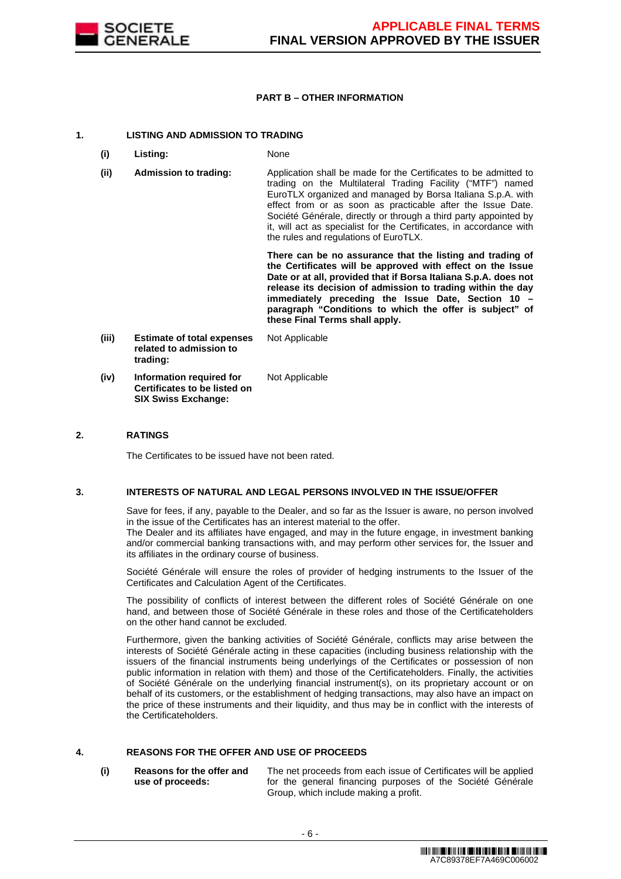

### **PART B – OTHER INFORMATION**

### **1. LISTING AND ADMISSION TO TRADING**

- **(i) Listing:** None
- **(ii) Admission to trading:** Application shall be made for the Certificates to be admitted to trading on the Multilateral Trading Facility ("MTF") named EuroTLX organized and managed by Borsa Italiana S.p.A. with effect from or as soon as practicable after the Issue Date. Société Générale, directly or through a third party appointed by it, will act as specialist for the Certificates, in accordance with the rules and regulations of EuroTLX.

 **There can be no assurance that the listing and trading of the Certificates will be approved with effect on the Issue Date or at all, provided that if Borsa Italiana S.p.A. does not release its decision of admission to trading within the day immediately preceding the Issue Date, Section 10 – paragraph "Conditions to which the offer is subject" of these Final Terms shall apply.**

**(iii) Estimate of total expenses related to admission to trading:** Not Applicable **(iv) Information required for Certificates to be listed on**  Not Applicable

**SIX Swiss Exchange:**

### **2. RATINGS**

The Certificates to be issued have not been rated.

#### **3. INTERESTS OF NATURAL AND LEGAL PERSONS INVOLVED IN THE ISSUE/OFFER**

 Save for fees, if any, payable to the Dealer, and so far as the Issuer is aware, no person involved in the issue of the Certificates has an interest material to the offer.

The Dealer and its affiliates have engaged, and may in the future engage, in investment banking and/or commercial banking transactions with, and may perform other services for, the Issuer and its affiliates in the ordinary course of business.

 Société Générale will ensure the roles of provider of hedging instruments to the Issuer of the Certificates and Calculation Agent of the Certificates.

 The possibility of conflicts of interest between the different roles of Société Générale on one hand, and between those of Société Générale in these roles and those of the Certificateholders on the other hand cannot be excluded.

 Furthermore, given the banking activities of Société Générale, conflicts may arise between the interests of Société Générale acting in these capacities (including business relationship with the issuers of the financial instruments being underlyings of the Certificates or possession of non public information in relation with them) and those of the Certificateholders. Finally, the activities of Société Générale on the underlying financial instrument(s), on its proprietary account or on behalf of its customers, or the establishment of hedging transactions, may also have an impact on the price of these instruments and their liquidity, and thus may be in conflict with the interests of the Certificateholders.

# **4. REASONS FOR THE OFFER AND USE OF PROCEEDS**

**(i) Reasons for the offer and use of proceeds:**

The net proceeds from each issue of Certificates will be applied for the general financing purposes of the Société Générale Group, which include making a profit.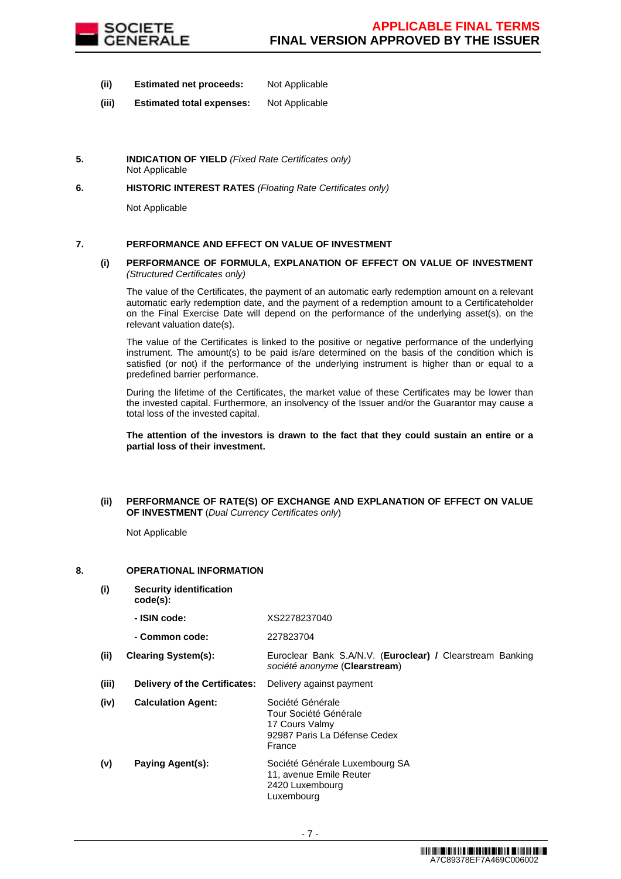

- **(ii) Estimated net proceeds:** Not Applicable
- **(iii) Estimated total expenses:** Not Applicable
- **5. INDICATION OF YIELD** (Fixed Rate Certificates only) Not Applicable
- **6. HISTORIC INTEREST RATES** (Floating Rate Certificates only)

Not Applicable

# **7. PERFORMANCE AND EFFECT ON VALUE OF INVESTMENT**

#### **(i) PERFORMANCE OF FORMULA, EXPLANATION OF EFFECT ON VALUE OF INVESTMENT**  (Structured Certificates only)

 The value of the Certificates, the payment of an automatic early redemption amount on a relevant automatic early redemption date, and the payment of a redemption amount to a Certificateholder on the Final Exercise Date will depend on the performance of the underlying asset(s), on the relevant valuation date(s).

 The value of the Certificates is linked to the positive or negative performance of the underlying instrument. The amount(s) to be paid is/are determined on the basis of the condition which is satisfied (or not) if the performance of the underlying instrument is higher than or equal to a predefined barrier performance.

 During the lifetime of the Certificates, the market value of these Certificates may be lower than the invested capital. Furthermore, an insolvency of the Issuer and/or the Guarantor may cause a total loss of the invested capital.

**The attention of the investors is drawn to the fact that they could sustain an entire or a partial loss of their investment.**

### **(ii) PERFORMANCE OF RATE(S) OF EXCHANGE AND EXPLANATION OF EFFECT ON VALUE OF INVESTMENT** (Dual Currency Certificates only)

Not Applicable

### **8. OPERATIONAL INFORMATION**

**(i) Security identification** 

**code(s): - ISIN code:** XS2278237040

|       | - Common code:                | 227823704                                                                                             |
|-------|-------------------------------|-------------------------------------------------------------------------------------------------------|
| (ii)  | <b>Clearing System(s):</b>    | Euroclear Bank S.A/N.V. (Euroclear) / Clearstream Banking<br>société anonyme (Clearstream)            |
| (iii) | Delivery of the Certificates: | Delivery against payment                                                                              |
| (iv)  | <b>Calculation Agent:</b>     | Société Générale<br>Tour Société Générale<br>17 Cours Valmy<br>92987 Paris La Défense Cedex<br>France |
| (v)   | Paying Agent(s):              | Société Générale Luxembourg SA<br>11, avenue Emile Reuter<br>2420 Luxembourg<br>Luxembourg            |
|       |                               |                                                                                                       |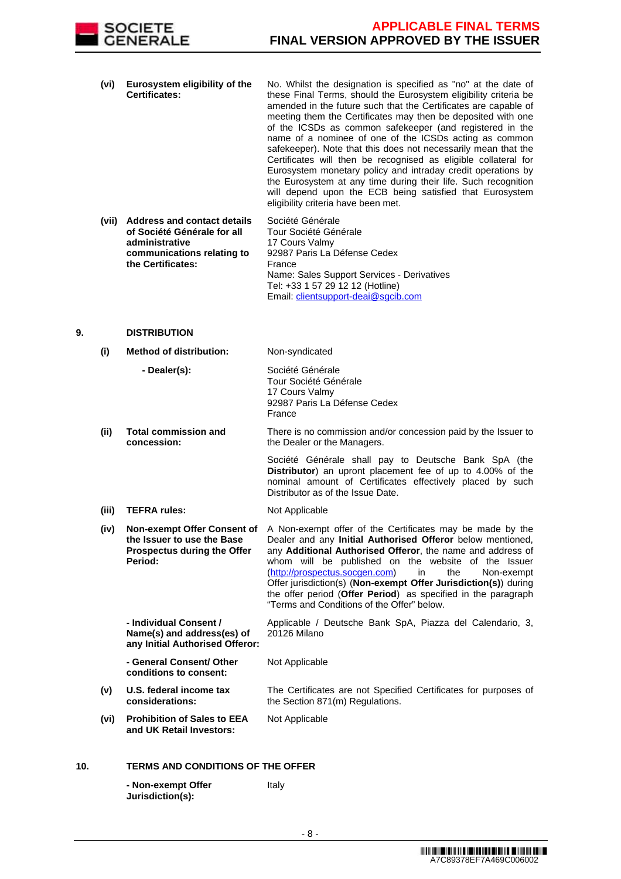

- **(vi) Eurosystem eligibility of the Certificates:** No. Whilst the designation is specified as "no" at the date of these Final Terms, should the Eurosystem eligibility criteria be amended in the future such that the Certificates are capable of meeting them the Certificates may then be deposited with one of the ICSDs as common safekeeper (and registered in the name of a nominee of one of the ICSDs acting as common safekeeper). Note that this does not necessarily mean that the Certificates will then be recognised as eligible collateral for Eurosystem monetary policy and intraday credit operations by the Eurosystem at any time during their life. Such recognition will depend upon the ECB being satisfied that Eurosystem eligibility criteria have been met.
- **(vii) Address and contact details of Société Générale for all administrative communications relating to the Certificates:** Société Générale Tour Société Générale 17 Cours Valmy 92987 Paris La Défense Cedex France Name: Sales Support Services - Derivatives Tel: +33 1 57 29 12 12 (Hotline) Email: clientsupport-deai@sgcib.com

### **9. DISTRIBUTION**

|     | (i)   | <b>Method of distribution:</b>                                                                             | Non-syndicated                                                                                                                                                                                                                                                                                                                                                                                                                                                                              |
|-----|-------|------------------------------------------------------------------------------------------------------------|---------------------------------------------------------------------------------------------------------------------------------------------------------------------------------------------------------------------------------------------------------------------------------------------------------------------------------------------------------------------------------------------------------------------------------------------------------------------------------------------|
|     |       | - Dealer(s):                                                                                               | Société Générale<br>Tour Société Générale<br>17 Cours Valmy<br>92987 Paris La Défense Cedex<br>France                                                                                                                                                                                                                                                                                                                                                                                       |
|     | (ii)  | <b>Total commission and</b><br>concession:                                                                 | There is no commission and/or concession paid by the Issuer to<br>the Dealer or the Managers.                                                                                                                                                                                                                                                                                                                                                                                               |
|     |       |                                                                                                            | Société Générale shall pay to Deutsche Bank SpA (the<br>Distributor) an upront placement fee of up to 4.00% of the<br>nominal amount of Certificates effectively placed by such<br>Distributor as of the Issue Date.                                                                                                                                                                                                                                                                        |
|     | (iii) | <b>TEFRA rules:</b>                                                                                        | Not Applicable                                                                                                                                                                                                                                                                                                                                                                                                                                                                              |
|     | (iv)  | Non-exempt Offer Consent of<br>the Issuer to use the Base<br><b>Prospectus during the Offer</b><br>Period: | A Non-exempt offer of the Certificates may be made by the<br>Dealer and any Initial Authorised Offeror below mentioned,<br>any Additional Authorised Offeror, the name and address of<br>whom will be published on the website of the Issuer<br>(http://prospectus.socgen.com)<br>in<br>the<br>Non-exempt<br>Offer jurisdiction(s) (Non-exempt Offer Jurisdiction(s)) during<br>the offer period (Offer Period) as specified in the paragraph<br>"Terms and Conditions of the Offer" below. |
|     |       | - Individual Consent /<br>Name(s) and address(es) of<br>any Initial Authorised Offeror:                    | Applicable / Deutsche Bank SpA, Piazza del Calendario, 3,<br>20126 Milano                                                                                                                                                                                                                                                                                                                                                                                                                   |
|     |       | - General Consent/ Other<br>conditions to consent:                                                         | Not Applicable                                                                                                                                                                                                                                                                                                                                                                                                                                                                              |
|     | (v)   | U.S. federal income tax<br>considerations:                                                                 | The Certificates are not Specified Certificates for purposes of<br>the Section 871(m) Regulations.                                                                                                                                                                                                                                                                                                                                                                                          |
|     | (vi)  | <b>Prohibition of Sales to EEA</b><br>and UK Retail Investors:                                             | Not Applicable                                                                                                                                                                                                                                                                                                                                                                                                                                                                              |
| 10. |       | <b>TERMS AND CONDITIONS OF THE OFFER</b>                                                                   |                                                                                                                                                                                                                                                                                                                                                                                                                                                                                             |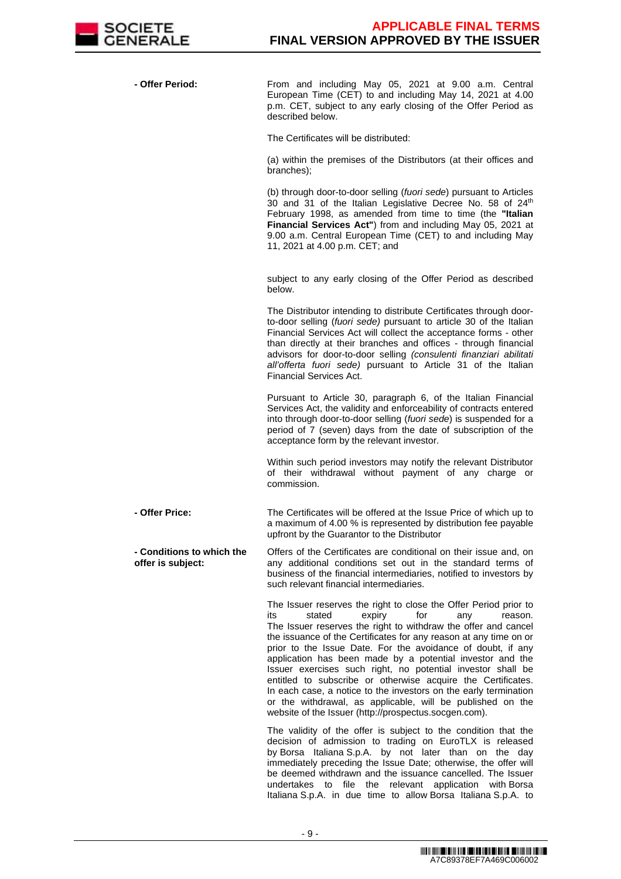

 **- Offer Period:** From and including May 05, 2021 at 9.00 a.m. Central European Time (CET) to and including May 14, 2021 at 4.00 p.m. CET, subject to any early closing of the Offer Period as described below.

The Certificates will be distributed:

(a) within the premises of the Distributors (at their offices and branches);

(b) through door-to-door selling (fuori sede) pursuant to Articles 30 and 31 of the Italian Legislative Decree No. 58 of 24<sup>th</sup> February 1998, as amended from time to time (the **"Italian Financial Services Act"**) from and including May 05, 2021 at 9.00 a.m. Central European Time (CET) to and including May 11, 2021 at 4.00 p.m. CET; and

subject to any early closing of the Offer Period as described below.

The Distributor intending to distribute Certificates through doorto-door selling (fuori sede) pursuant to article 30 of the Italian Financial Services Act will collect the acceptance forms - other than directly at their branches and offices - through financial advisors for door-to-door selling (consulenti finanziari abilitati all'offerta fuori sede) pursuant to Article 31 of the Italian Financial Services Act.

Pursuant to Article 30, paragraph 6, of the Italian Financial Services Act, the validity and enforceability of contracts entered into through door-to-door selling (fuori sede) is suspended for a period of 7 (seven) days from the date of subscription of the acceptance form by the relevant investor.

Within such period investors may notify the relevant Distributor of their withdrawal without payment of any charge or commission.

 **- Offer Price:** The Certificates will be offered at the Issue Price of which up to a maximum of 4.00 % is represented by distribution fee payable upfront by the Guarantor to the Distributor

 **- Conditions to which the offer is subject:** Offers of the Certificates are conditional on their issue and, on any additional conditions set out in the standard terms of business of the financial intermediaries, notified to investors by such relevant financial intermediaries.

> The Issuer reserves the right to close the Offer Period prior to<br>
> its stated expiry for any reason. its stated expiry for any reason. The Issuer reserves the right to withdraw the offer and cancel the issuance of the Certificates for any reason at any time on or prior to the Issue Date. For the avoidance of doubt, if any application has been made by a potential investor and the Issuer exercises such right, no potential investor shall be entitled to subscribe or otherwise acquire the Certificates. In each case, a notice to the investors on the early termination or the withdrawal, as applicable, will be published on the website of the Issuer (http://prospectus.socgen.com).

> The validity of the offer is subject to the condition that the decision of admission to trading on EuroTLX is released by Borsa Italiana S.p.A. by not later than on the day immediately preceding the Issue Date; otherwise, the offer will be deemed withdrawn and the issuance cancelled. The Issuer undertakes to file the relevant application with Borsa Italiana S.p.A. in due time to allow Borsa Italiana S.p.A. to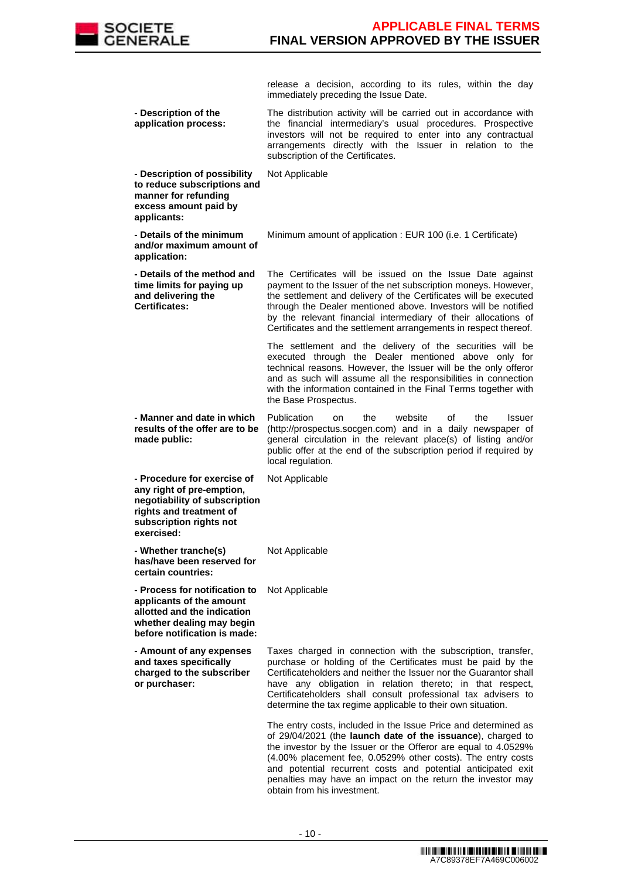

release a decision, according to its rules, within the day immediately preceding the Issue Date. **- Description of the application process:** The distribution activity will be carried out in accordance with the financial intermediary's usual procedures. Prospective investors will not be required to enter into any contractual arrangements directly with the Issuer in relation to the subscription of the Certificates. **- Description of possibility to reduce subscriptions and manner for refunding excess amount paid by applicants:** Not Applicable **- Details of the minimum and/or maximum amount of application:** Minimum amount of application : EUR 100 (i.e. 1 Certificate) **- Details of the method and time limits for paying up and delivering the Certificates:** The Certificates will be issued on the Issue Date against payment to the Issuer of the net subscription moneys. However, the settlement and delivery of the Certificates will be executed through the Dealer mentioned above. Investors will be notified by the relevant financial intermediary of their allocations of Certificates and the settlement arrangements in respect thereof. The settlement and the delivery of the securities will be executed through the Dealer mentioned above only for technical reasons. However, the Issuer will be the only offeror and as such will assume all the responsibilities in connection with the information contained in the Final Terms together with the Base Prospectus. **- Manner and date in which results of the offer are to be made public:** Publication on the website of the Issuer (http://prospectus.socgen.com) and in a daily newspaper of general circulation in the relevant place(s) of listing and/or public offer at the end of the subscription period if required by local regulation. **- Procedure for exercise of any right of pre-emption, negotiability of subscription rights and treatment of subscription rights not exercised:** Not Applicable **- Whether tranche(s) has/have been reserved for certain countries:** Not Applicable **- Process for notification to**  Not Applicable **applicants of the amount allotted and the indication whether dealing may begin before notification is made: - Amount of any expenses and taxes specifically charged to the subscriber or purchaser:** Taxes charged in connection with the subscription, transfer, purchase or holding of the Certificates must be paid by the Certificateholders and neither the Issuer nor the Guarantor shall have any obligation in relation thereto; in that respect, Certificateholders shall consult professional tax advisers to determine the tax regime applicable to their own situation. The entry costs, included in the Issue Price and determined as of 29/04/2021 (the **launch date of the issuance**), charged to the investor by the Issuer or the Offeror are equal to 4.0529% (4.00% placement fee, 0.0529% other costs). The entry costs and potential recurrent costs and potential anticipated exit penalties may have an impact on the return the investor may

obtain from his investment.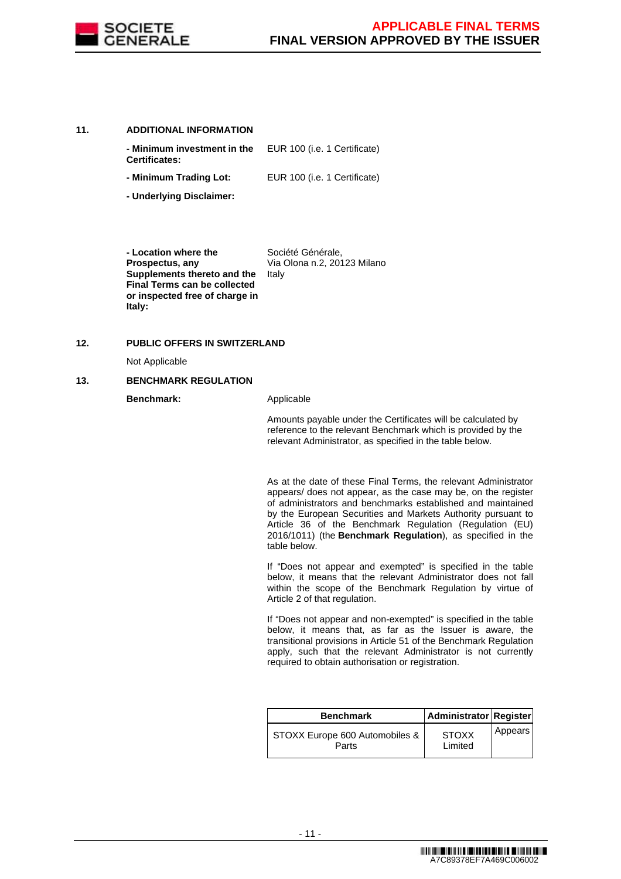

#### **11. ADDITIONAL INFORMATION**

| - Minimum investment in the<br><b>Certificates:</b> | EUR 100 (i.e. 1 Certificate) |
|-----------------------------------------------------|------------------------------|
| - Minimum Trading Lot:                              | EUR 100 (i.e. 1 Certificate) |

**- Underlying Disclaimer:**

 **- Location where the Prospectus, any Supplements thereto and the Final Terms can be collected or inspected free of charge in Italy:** Société Générale, Via Olona n.2, 20123 Milano Italy

### **12. PUBLIC OFFERS IN SWITZERLAND**

Not Applicable

#### **13. BENCHMARK REGULATION**

**Benchmark:** Applicable

Amounts payable under the Certificates will be calculated by reference to the relevant Benchmark which is provided by the relevant Administrator, as specified in the table below.

As at the date of these Final Terms, the relevant Administrator appears/ does not appear, as the case may be, on the register of administrators and benchmarks established and maintained by the European Securities and Markets Authority pursuant to Article 36 of the Benchmark Regulation (Regulation (EU) 2016/1011) (the **Benchmark Regulation**), as specified in the table below.

If "Does not appear and exempted" is specified in the table below, it means that the relevant Administrator does not fall within the scope of the Benchmark Regulation by virtue of Article 2 of that regulation.

If "Does not appear and non-exempted" is specified in the table below, it means that, as far as the Issuer is aware, the transitional provisions in Article 51 of the Benchmark Regulation apply, such that the relevant Administrator is not currently required to obtain authorisation or registration.

| <b>Benchmark</b>                          | Administrator Register  |         |
|-------------------------------------------|-------------------------|---------|
| STOXX Europe 600 Automobiles &  <br>Parts | <b>STOXX</b><br>Limited | Appears |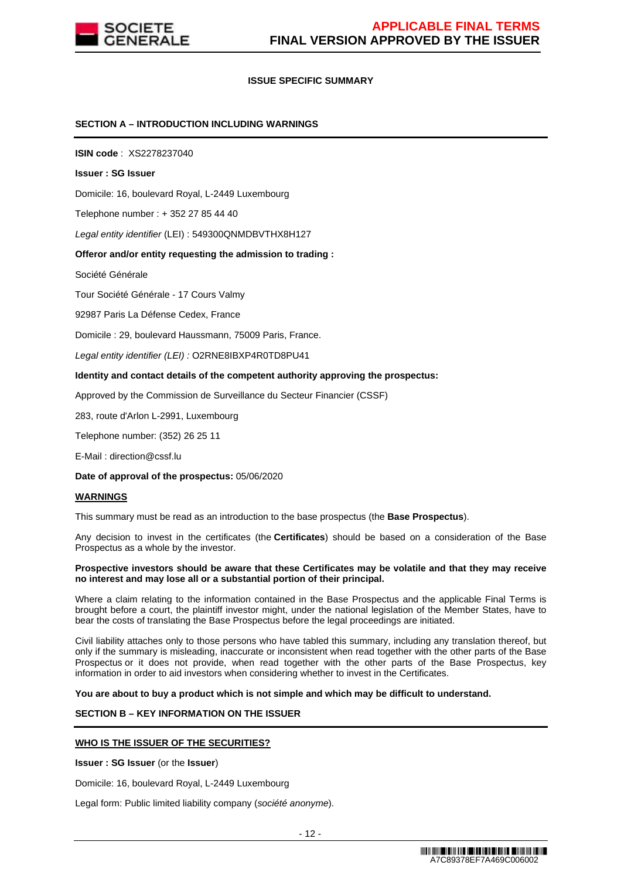

### **ISSUE SPECIFIC SUMMARY**

### **SECTION A – INTRODUCTION INCLUDING WARNINGS**

**ISIN code** : XS2278237040

#### **Issuer : SG Issuer**

Domicile: 16, boulevard Royal, L-2449 Luxembourg

Telephone number : + 352 27 85 44 40

Legal entity identifier (LEI) : 549300QNMDBVTHX8H127

#### **Offeror and/or entity requesting the admission to trading :**

Société Générale

Tour Société Générale - 17 Cours Valmy

92987 Paris La Défense Cedex, France

Domicile : 29, boulevard Haussmann, 75009 Paris, France.

Legal entity identifier (LEI) : O2RNE8IBXP4R0TD8PU41

#### **Identity and contact details of the competent authority approving the prospectus:**

Approved by the Commission de Surveillance du Secteur Financier (CSSF)

283, route d'Arlon L-2991, Luxembourg

Telephone number: (352) 26 25 11

E-Mail : direction@cssf.lu

**Date of approval of the prospectus:** 05/06/2020

#### **WARNINGS**

This summary must be read as an introduction to the base prospectus (the **Base Prospectus**).

Any decision to invest in the certificates (the **Certificates**) should be based on a consideration of the Base Prospectus as a whole by the investor.

#### **Prospective investors should be aware that these Certificates may be volatile and that they may receive no interest and may lose all or a substantial portion of their principal.**

Where a claim relating to the information contained in the Base Prospectus and the applicable Final Terms is brought before a court, the plaintiff investor might, under the national legislation of the Member States, have to bear the costs of translating the Base Prospectus before the legal proceedings are initiated.

Civil liability attaches only to those persons who have tabled this summary, including any translation thereof, but only if the summary is misleading, inaccurate or inconsistent when read together with the other parts of the Base Prospectus or it does not provide, when read together with the other parts of the Base Prospectus, key information in order to aid investors when considering whether to invest in the Certificates.

**You are about to buy a product which is not simple and which may be difficult to understand.**

# **SECTION B – KEY INFORMATION ON THE ISSUER**

#### **WHO IS THE ISSUER OF THE SECURITIES?**

**Issuer : SG Issuer** (or the **Issuer**)

Domicile: 16, boulevard Royal, L-2449 Luxembourg

Legal form: Public limited liability company (société anonyme).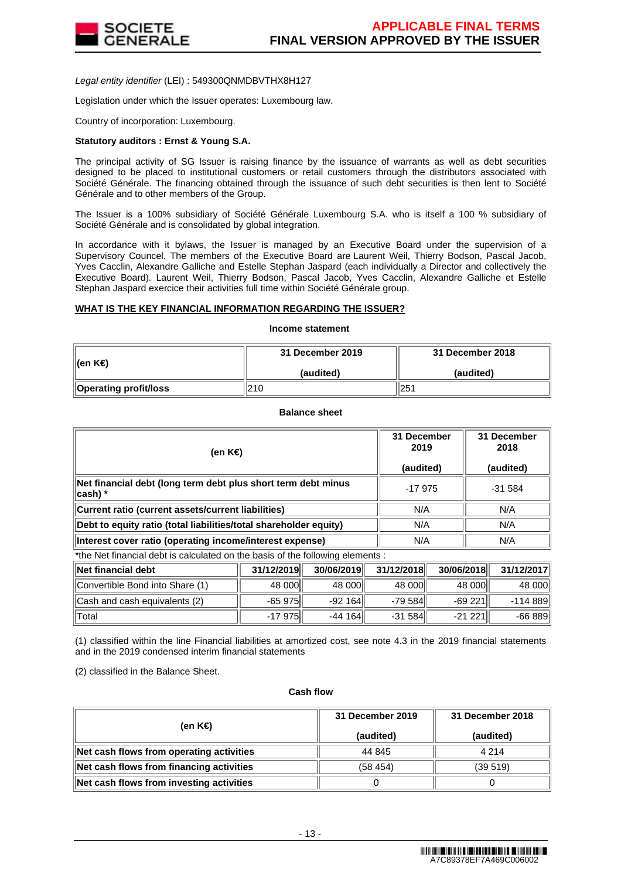

Legal entity identifier (LEI) : 549300QNMDBVTHX8H127

Legislation under which the Issuer operates: Luxembourg law.

Country of incorporation: Luxembourg.

#### **Statutory auditors : Ernst & Young S.A.**

The principal activity of SG Issuer is raising finance by the issuance of warrants as well as debt securities designed to be placed to institutional customers or retail customers through the distributors associated with Société Générale. The financing obtained through the issuance of such debt securities is then lent to Société Générale and to other members of the Group.

The Issuer is a 100% subsidiary of Société Générale Luxembourg S.A. who is itself a 100 % subsidiary of Société Générale and is consolidated by global integration.

In accordance with it bylaws, the Issuer is managed by an Executive Board under the supervision of a Supervisory Councel. The members of the Executive Board are Laurent Weil, Thierry Bodson, Pascal Jacob, Yves Cacclin, Alexandre Galliche and Estelle Stephan Jaspard (each individually a Director and collectively the Executive Board). Laurent Weil, Thierry Bodson, Pascal Jacob, Yves Cacclin, Alexandre Galliche et Estelle Stephan Jaspard exercice their activities full time within Société Générale group.

#### **WHAT IS THE KEY FINANCIAL INFORMATION REGARDING THE ISSUER?**

# **Income statement**

| ∥(en K€)              | 31 December 2019 | 31 December 2018 |  |
|-----------------------|------------------|------------------|--|
|                       | (audited)        | (audited)        |  |
| Operating profit/loss | 210              | 251              |  |

**Balance sheet**

| (en K€)                                                                     | 31 December<br>2019<br>(audited) | 31 December<br>2018<br>(audited) |
|-----------------------------------------------------------------------------|----------------------------------|----------------------------------|
| Net financial debt (long term debt plus short term debt minus<br>$ cash) *$ | $-17975$                         | $-31584$                         |
| Current ratio (current assets/current liabilities)                          | N/A                              | N/A                              |
| Debt to equity ratio (total liabilities/total shareholder equity)           | N/A                              | N/A                              |
| Interest cover ratio (operating income/interest expense)                    | N/A                              | N/A                              |

\*the Net financial debt is calculated on the basis of the following elements :

| ∥Net financial debt             | 31/12/2019 | 30/06/2019 | 31/12/2018 | 30/06/2018 | 31/12/2017 |
|---------------------------------|------------|------------|------------|------------|------------|
| Convertible Bond into Share (1) | 48 000     | 48 000     | 48 000     | 48 000     | 48 000     |
| Cash and cash equivalents (2)   | $-65975$   | $-92164$   | $-79584$   | $-69221$   | -114 889   |
| ⊺Total                          | $-17975$   | $-44164$   | $-31584$   | $-21221$   | $-66889$   |

(1) classified within the line Financial liabilities at amortized cost, see note 4.3 in the 2019 financial statements and in the 2019 condensed interim financial statements

(2) classified in the Balance Sheet.

#### **Cash flow**

| (en K€)                                  | 31 December 2019<br>(audited) | 31 December 2018<br>(audited) |  |
|------------------------------------------|-------------------------------|-------------------------------|--|
| Net cash flows from operating activities | 44 845                        | 4 2 1 4                       |  |
| Net cash flows from financing activities | (58, 454)                     | (39519)                       |  |
| Net cash flows from investing activities |                               |                               |  |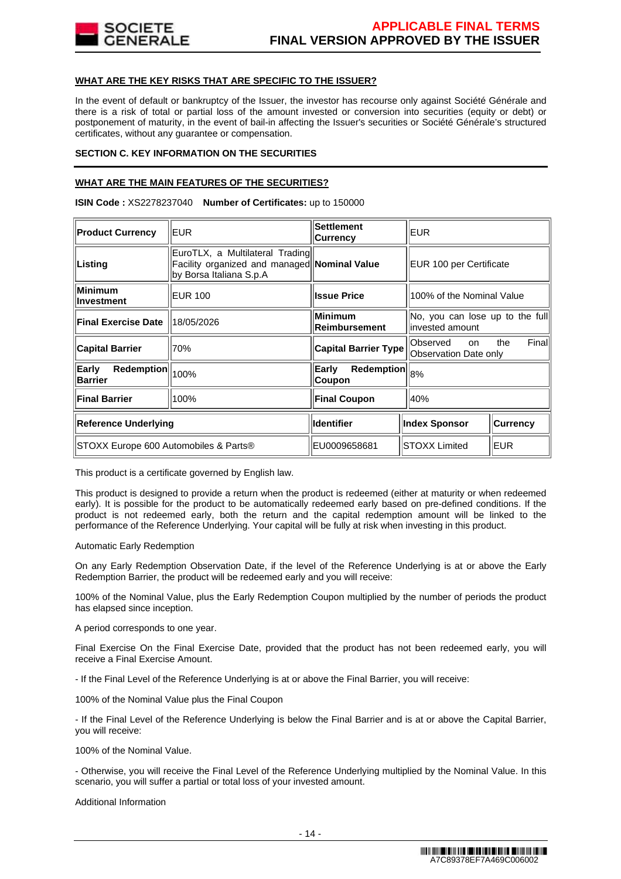

### **WHAT ARE THE KEY RISKS THAT ARE SPECIFIC TO THE ISSUER?**

In the event of default or bankruptcy of the Issuer, the investor has recourse only against Société Générale and there is a risk of total or partial loss of the amount invested or conversion into securities (equity or debt) or postponement of maturity, in the event of bail-in affecting the Issuer's securities or Société Générale's structured certificates, without any guarantee or compensation.

### **SECTION C. KEY INFORMATION ON THE SECURITIES**

## **WHAT ARE THE MAIN FEATURES OF THE SECURITIES?**

**ISIN Code :** XS2278237040 **Number of Certificates:** up to 150000

| <b>Product Currency</b>               | EUR.                                                                                                       | <b>Settlement</b><br><b>Currency</b> | <b>EUR</b>                                          |                 |
|---------------------------------------|------------------------------------------------------------------------------------------------------------|--------------------------------------|-----------------------------------------------------|-----------------|
| Listing                               | EuroTLX, a Multilateral Trading<br>Facility organized and managed Nominal Value<br>by Borsa Italiana S.p.A |                                      | EUR 100 per Certificate                             |                 |
| Minimum<br>llnvestment                | <b>EUR 100</b>                                                                                             | <b>Issue Price</b>                   | 100% of the Nominal Value                           |                 |
| <b>Final Exercise Date</b>            | 18/05/2026                                                                                                 | <b>Minimum</b><br>Reimbursement      | No, you can lose up to the full<br>linvested amount |                 |
| <b>Capital Barrier</b>                | 70%                                                                                                        | <b>Capital Barrier Type</b>          | Observed<br>on<br>Observation Date only             | Finall<br>the   |
| Early<br>Redemption<br><b>Barrier</b> | 100%                                                                                                       | <b>Redemption</b><br>Early<br>Coupon | 8%                                                  |                 |
| <b>Final Barrier</b>                  | 100%                                                                                                       | <b>Final Coupon</b>                  | 40%                                                 |                 |
| Reference Underlying                  |                                                                                                            | <b>Identifier</b>                    | <b>Index Sponsor</b>                                | <b>Currency</b> |
| STOXX Europe 600 Automobiles & Parts® |                                                                                                            | EU0009658681                         | <b>STOXX Limited</b><br>EUR                         |                 |

This product is a certificate governed by English law.

This product is designed to provide a return when the product is redeemed (either at maturity or when redeemed early). It is possible for the product to be automatically redeemed early based on pre-defined conditions. If the product is not redeemed early, both the return and the capital redemption amount will be linked to the performance of the Reference Underlying. Your capital will be fully at risk when investing in this product.

Automatic Early Redemption

On any Early Redemption Observation Date, if the level of the Reference Underlying is at or above the Early Redemption Barrier, the product will be redeemed early and you will receive:

100% of the Nominal Value, plus the Early Redemption Coupon multiplied by the number of periods the product has elapsed since inception.

A period corresponds to one year.

Final Exercise On the Final Exercise Date, provided that the product has not been redeemed early, you will receive a Final Exercise Amount.

- If the Final Level of the Reference Underlying is at or above the Final Barrier, you will receive:

100% of the Nominal Value plus the Final Coupon

- If the Final Level of the Reference Underlying is below the Final Barrier and is at or above the Capital Barrier, you will receive:

100% of the Nominal Value.

- Otherwise, you will receive the Final Level of the Reference Underlying multiplied by the Nominal Value. In this scenario, you will suffer a partial or total loss of your invested amount.

Additional Information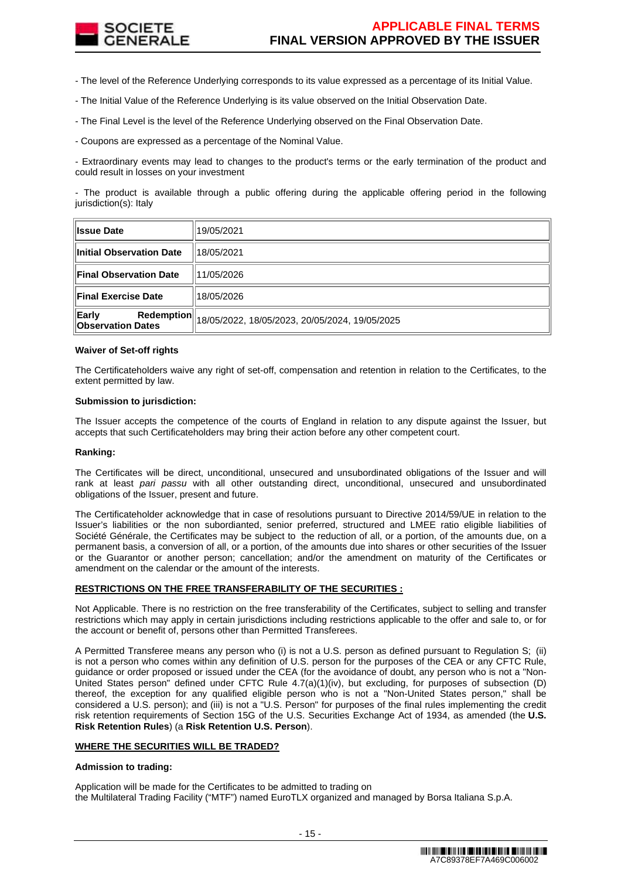

- The level of the Reference Underlying corresponds to its value expressed as a percentage of its Initial Value.

- The Initial Value of the Reference Underlying is its value observed on the Initial Observation Date.

- The Final Level is the level of the Reference Underlying observed on the Final Observation Date.

- Coupons are expressed as a percentage of the Nominal Value.

- Extraordinary events may lead to changes to the product's terms or the early termination of the product and could result in losses on your investment

- The product is available through a public offering during the applicable offering period in the following jurisdiction(s): Italy

| <b>Issue Date</b>                                      | 19/05/2021                                     |
|--------------------------------------------------------|------------------------------------------------|
| Initial Observation Date                               | 18/05/2021                                     |
| <b>Final Observation Date</b>                          | 11/05/2026                                     |
| <b>Final Exercise Date</b>                             | 18/05/2026                                     |
| Early<br><b>Redemption</b><br><b>Observation Dates</b> | 18/05/2022, 18/05/2023, 20/05/2024, 19/05/2025 |

#### **Waiver of Set-off rights**

The Certificateholders waive any right of set-off, compensation and retention in relation to the Certificates, to the extent permitted by law.

#### **Submission to jurisdiction:**

The Issuer accepts the competence of the courts of England in relation to any dispute against the Issuer, but accepts that such Certificateholders may bring their action before any other competent court.

#### **Ranking:**

The Certificates will be direct, unconditional, unsecured and unsubordinated obligations of the Issuer and will rank at least pari passu with all other outstanding direct, unconditional, unsecured and unsubordinated obligations of the Issuer, present and future.

The Certificateholder acknowledge that in case of resolutions pursuant to Directive 2014/59/UE in relation to the Issuer's liabilities or the non subordianted, senior preferred, structured and LMEE ratio eligible liabilities of Société Générale, the Certificates may be subject to the reduction of all, or a portion, of the amounts due, on a permanent basis, a conversion of all, or a portion, of the amounts due into shares or other securities of the Issuer or the Guarantor or another person; cancellation; and/or the amendment on maturity of the Certificates or amendment on the calendar or the amount of the interests.

# **RESTRICTIONS ON THE FREE TRANSFERABILITY OF THE SECURITIES :**

Not Applicable. There is no restriction on the free transferability of the Certificates, subject to selling and transfer restrictions which may apply in certain jurisdictions including restrictions applicable to the offer and sale to, or for the account or benefit of, persons other than Permitted Transferees.

A Permitted Transferee means any person who (i) is not a U.S. person as defined pursuant to Regulation S; (ii) is not a person who comes within any definition of U.S. person for the purposes of the CEA or any CFTC Rule, guidance or order proposed or issued under the CEA (for the avoidance of doubt, any person who is not a "Non-United States person" defined under CFTC Rule 4.7(a)(1)(iv), but excluding, for purposes of subsection (D) thereof, the exception for any qualified eligible person who is not a "Non-United States person," shall be considered a U.S. person); and (iii) is not a "U.S. Person" for purposes of the final rules implementing the credit risk retention requirements of Section 15G of the U.S. Securities Exchange Act of 1934, as amended (the **U.S. Risk Retention Rules**) (a **Risk Retention U.S. Person**).

#### **WHERE THE SECURITIES WILL BE TRADED?**

#### **Admission to trading:**

Application will be made for the Certificates to be admitted to trading on the Multilateral Trading Facility ("MTF") named EuroTLX organized and managed by Borsa Italiana S.p.A.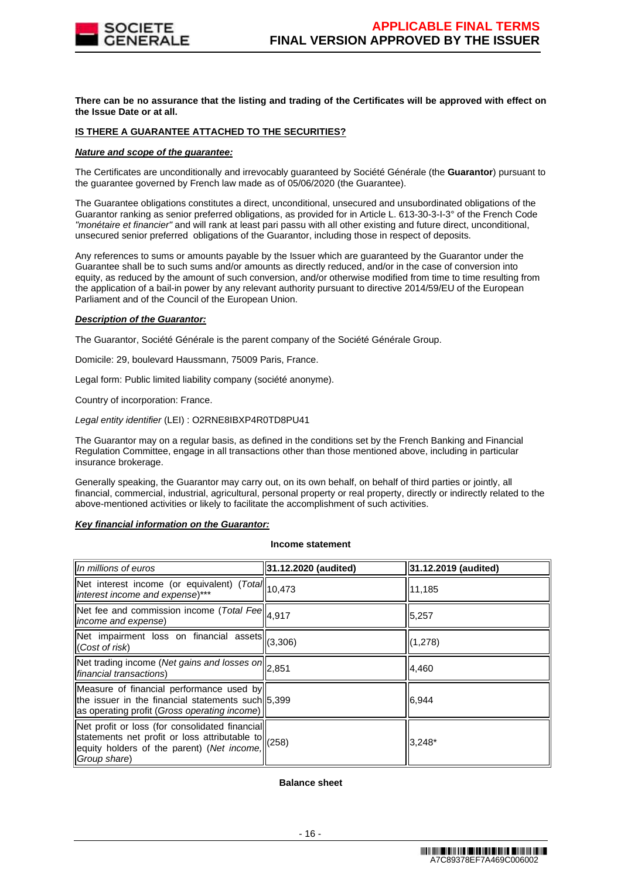

**There can be no assurance that the listing and trading of the Certificates will be approved with effect on the Issue Date or at all.**

### **IS THERE A GUARANTEE ATTACHED TO THE SECURITIES?**

### **Nature and scope of the guarantee:**

The Certificates are unconditionally and irrevocably guaranteed by Société Générale (the **Guarantor**) pursuant to the guarantee governed by French law made as of 05/06/2020 (the Guarantee).

The Guarantee obligations constitutes a direct, unconditional, unsecured and unsubordinated obligations of the Guarantor ranking as senior preferred obligations, as provided for in Article L. 613-30-3-I-3° of the French Code "monétaire et financier" and will rank at least pari passu with all other existing and future direct, unconditional, unsecured senior preferred obligations of the Guarantor, including those in respect of deposits.

Any references to sums or amounts payable by the Issuer which are guaranteed by the Guarantor under the Guarantee shall be to such sums and/or amounts as directly reduced, and/or in the case of conversion into equity, as reduced by the amount of such conversion, and/or otherwise modified from time to time resulting from the application of a bail-in power by any relevant authority pursuant to directive 2014/59/EU of the European Parliament and of the Council of the European Union.

### **Description of the Guarantor:**

The Guarantor, Société Générale is the parent company of the Société Générale Group.

Domicile: 29, boulevard Haussmann, 75009 Paris, France.

Legal form: Public limited liability company (société anonyme).

Country of incorporation: France.

Legal entity identifier (LEI) : O2RNE8IBXP4R0TD8PU41

The Guarantor may on a regular basis, as defined in the conditions set by the French Banking and Financial Regulation Committee, engage in all transactions other than those mentioned above, including in particular insurance brokerage.

Generally speaking, the Guarantor may carry out, on its own behalf, on behalf of third parties or jointly, all financial, commercial, industrial, agricultural, personal property or real property, directly or indirectly related to the above-mentioned activities or likely to facilitate the accomplishment of such activities.

#### **Key financial information on the Guarantor:**

#### **Income statement**

| $\parallel$ In millions of euros                                                                                                                                                                                              | 31.12.2020 (audited) | 31.12.2019 (audited) |
|-------------------------------------------------------------------------------------------------------------------------------------------------------------------------------------------------------------------------------|----------------------|----------------------|
| Net interest income (or equivalent) (Total 10,473<br>interest income and expense)***                                                                                                                                          |                      | 11,185               |
| Net fee and commission income (Total Fee $  a,917  $<br><i>income and expense</i> )                                                                                                                                           |                      | 5,257                |
| Net impairment loss on financial assets $  _{(3,306)}$<br>(Cost of risk)                                                                                                                                                      |                      | (1,278)              |
| $\sqrt{\text{Net} \text{ trading income}}$ (Net gains and losses on $\vert$ 2,851<br>financial transactions)                                                                                                                  |                      | 4,460                |
| Measure of financial performance used by<br>the issuer in the financial statements such 5,399<br>as operating profit (Gross operating income)                                                                                 |                      | 6,944                |
| Net profit or loss (for consolidated financial<br>statements net profit or loss attributable to $\left\  \begin{array}{cc} (258) \\ (258) \end{array} \right\ $<br>equity holders of the parent) (Net income,<br>Group share) |                      | $3,248*$             |

# **Balance sheet**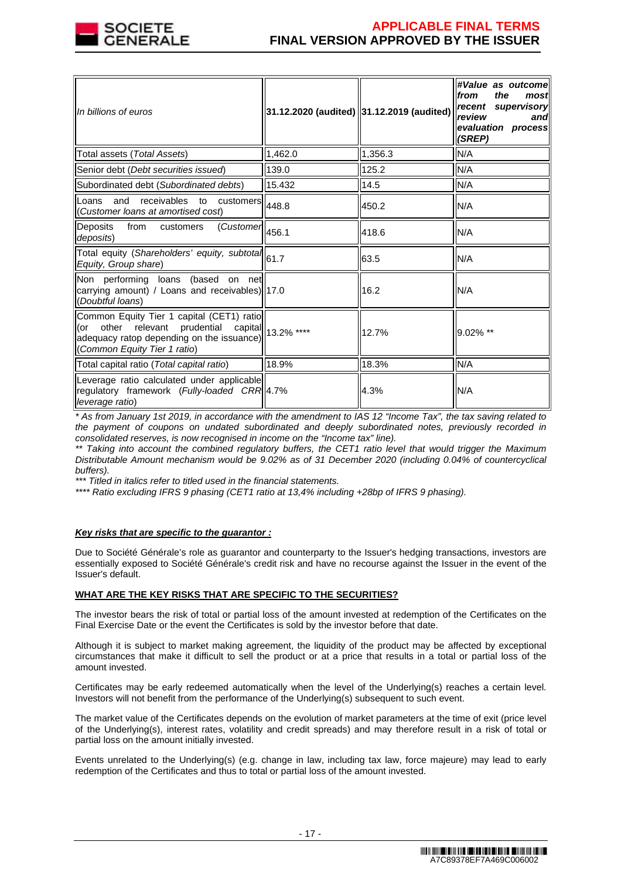

# **APPLICABLE FINAL TERMS FINAL VERSION APPROVED BY THE ISSUER**

| In billions of euros                                                                                                                                    | 31.12.2020 (audited) 31.12.2019 (audited) |         | #Value as outcomel<br>the<br>from<br>most<br>recent supervisory<br>review<br>and<br>evaluation process<br>(SREP) |
|---------------------------------------------------------------------------------------------------------------------------------------------------------|-------------------------------------------|---------|------------------------------------------------------------------------------------------------------------------|
| Total assets (Total Assets)                                                                                                                             | 1,462.0                                   | 1,356.3 | N/A                                                                                                              |
| Senior debt (Debt securities issued)                                                                                                                    | 139.0                                     | 125.2   | N/A                                                                                                              |
| Subordinated debt (Subordinated debts)                                                                                                                  | 15.432                                    | 14.5    | N/A                                                                                                              |
| and<br>receivables to customers 448.8<br>Loans<br>Customer loans at amortised cost)                                                                     |                                           | 450.2   | N/A                                                                                                              |
| Deposits<br>from<br>$\overline{\text{(Customer)}}$ 456.1<br>customers<br>deposits)                                                                      |                                           | 418.6   | N/A                                                                                                              |
| Total equity (Shareholders' equity, subtotal 61.7<br>Equity, Group share)                                                                               |                                           | 63.5    | N/A                                                                                                              |
| Non performing loans (based on net<br>carrying amount) / Loans and receivables)  17.0<br>(Doubtful loans)                                               |                                           | 16.2    | N/A                                                                                                              |
| Common Equity Tier 1 capital (CET1) ratio<br>(or other relevant prudential<br>adequacy ratop depending on the issuance)<br>(Common Equity Tier 1 ratio) | capital 13.2% ****                        | 12.7%   | 9.02% **                                                                                                         |
| Total capital ratio (Total capital ratio)                                                                                                               | 18.9%                                     | 18.3%   | N/A                                                                                                              |
| Leverage ratio calculated under applicable<br>regulatory framework (Fully-loaded CRR 4.7%<br>leverage ratio)                                            |                                           | 4.3%    | N/A                                                                                                              |

\* As from January 1st 2019, in accordance with the amendment to IAS 12 "Income Tax", the tax saving related to the payment of coupons on undated subordinated and deeply subordinated notes, previously recorded in consolidated reserves, is now recognised in income on the "Income tax" line).

\*\* Taking into account the combined regulatory buffers, the CET1 ratio level that would trigger the Maximum Distributable Amount mechanism would be 9.02% as of 31 December 2020 (including 0.04% of countercyclical buffers).

\*\*\* Titled in italics refer to titled used in the financial statements.

\*\*\*\* Ratio excluding IFRS 9 phasing (CET1 ratio at 13,4% including +28bp of IFRS 9 phasing).

#### **Key risks that are specific to the guarantor :**

Due to Société Générale's role as guarantor and counterparty to the Issuer's hedging transactions, investors are essentially exposed to Société Générale's credit risk and have no recourse against the Issuer in the event of the Issuer's default.

#### **WHAT ARE THE KEY RISKS THAT ARE SPECIFIC TO THE SECURITIES?**

The investor bears the risk of total or partial loss of the amount invested at redemption of the Certificates on the Final Exercise Date or the event the Certificates is sold by the investor before that date.

Although it is subject to market making agreement, the liquidity of the product may be affected by exceptional circumstances that make it difficult to sell the product or at a price that results in a total or partial loss of the amount invested.

Certificates may be early redeemed automatically when the level of the Underlying(s) reaches a certain level. Investors will not benefit from the performance of the Underlying(s) subsequent to such event.

The market value of the Certificates depends on the evolution of market parameters at the time of exit (price level of the Underlying(s), interest rates, volatility and credit spreads) and may therefore result in a risk of total or partial loss on the amount initially invested.

Events unrelated to the Underlying(s) (e.g. change in law, including tax law, force majeure) may lead to early redemption of the Certificates and thus to total or partial loss of the amount invested.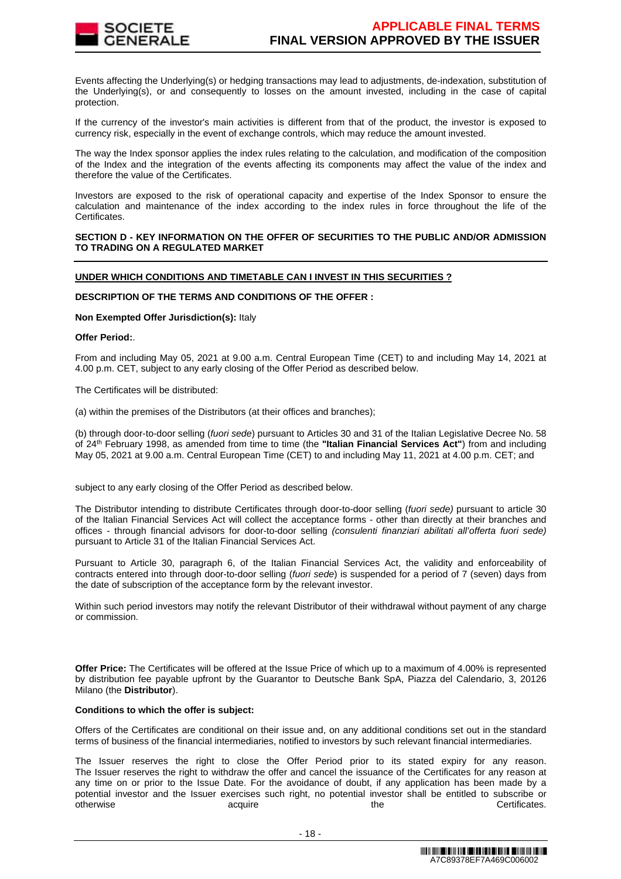

Events affecting the Underlying(s) or hedging transactions may lead to adjustments, de-indexation, substitution of the Underlying(s), or and consequently to losses on the amount invested, including in the case of capital protection.

If the currency of the investor's main activities is different from that of the product, the investor is exposed to currency risk, especially in the event of exchange controls, which may reduce the amount invested.

The way the Index sponsor applies the index rules relating to the calculation, and modification of the composition of the Index and the integration of the events affecting its components may affect the value of the index and therefore the value of the Certificates.

Investors are exposed to the risk of operational capacity and expertise of the Index Sponsor to ensure the calculation and maintenance of the index according to the index rules in force throughout the life of the Certificates.

### **SECTION D - KEY INFORMATION ON THE OFFER OF SECURITIES TO THE PUBLIC AND/OR ADMISSION TO TRADING ON A REGULATED MARKET**

### **UNDER WHICH CONDITIONS AND TIMETABLE CAN I INVEST IN THIS SECURITIES ?**

#### **DESCRIPTION OF THE TERMS AND CONDITIONS OF THE OFFER :**

#### **Non Exempted Offer Jurisdiction(s):** Italy

### **Offer Period:**.

From and including May 05, 2021 at 9.00 a.m. Central European Time (CET) to and including May 14, 2021 at 4.00 p.m. CET, subject to any early closing of the Offer Period as described below.

The Certificates will be distributed:

(a) within the premises of the Distributors (at their offices and branches);

(b) through door-to-door selling (fuori sede) pursuant to Articles 30 and 31 of the Italian Legislative Decree No. 58 of 24th February 1998, as amended from time to time (the **"Italian Financial Services Act"**) from and including May 05, 2021 at 9.00 a.m. Central European Time (CET) to and including May 11, 2021 at 4.00 p.m. CET; and

subject to any early closing of the Offer Period as described below.

The Distributor intending to distribute Certificates through door-to-door selling (fuori sede) pursuant to article 30 of the Italian Financial Services Act will collect the acceptance forms - other than directly at their branches and offices - through financial advisors for door-to-door selling (consulenti finanziari abilitati all'offerta fuori sede) pursuant to Article 31 of the Italian Financial Services Act.

Pursuant to Article 30, paragraph 6, of the Italian Financial Services Act, the validity and enforceability of contracts entered into through door-to-door selling (fuori sede) is suspended for a period of 7 (seven) days from the date of subscription of the acceptance form by the relevant investor.

Within such period investors may notify the relevant Distributor of their withdrawal without payment of any charge or commission.

**Offer Price:** The Certificates will be offered at the Issue Price of which up to a maximum of 4.00% is represented by distribution fee payable upfront by the Guarantor to Deutsche Bank SpA, Piazza del Calendario, 3, 20126 Milano (the **Distributor**).

#### **Conditions to which the offer is subject:**

Offers of the Certificates are conditional on their issue and, on any additional conditions set out in the standard terms of business of the financial intermediaries, notified to investors by such relevant financial intermediaries.

The Issuer reserves the right to close the Offer Period prior to its stated expiry for any reason. The Issuer reserves the right to withdraw the offer and cancel the issuance of the Certificates for any reason at any time on or prior to the Issue Date. For the avoidance of doubt, if any application has been made by a potential investor and the Issuer exercises such right, no potential investor shall be entitled to subscribe or otherwise acquire acquire the the Certificates.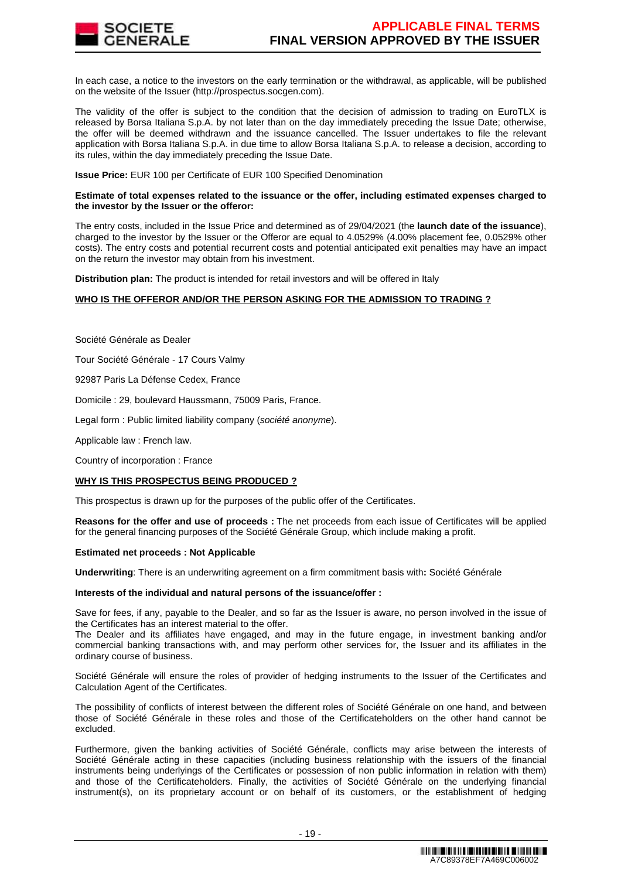

In each case, a notice to the investors on the early termination or the withdrawal, as applicable, will be published on the website of the Issuer (http://prospectus.socgen.com).

The validity of the offer is subject to the condition that the decision of admission to trading on EuroTLX is released by Borsa Italiana S.p.A. by not later than on the day immediately preceding the Issue Date; otherwise, the offer will be deemed withdrawn and the issuance cancelled. The Issuer undertakes to file the relevant application with Borsa Italiana S.p.A. in due time to allow Borsa Italiana S.p.A. to release a decision, according to its rules, within the day immediately preceding the Issue Date.

**Issue Price:** EUR 100 per Certificate of EUR 100 Specified Denomination

#### **Estimate of total expenses related to the issuance or the offer, including estimated expenses charged to the investor by the Issuer or the offeror:**

The entry costs, included in the Issue Price and determined as of 29/04/2021 (the **launch date of the issuance**), charged to the investor by the Issuer or the Offeror are equal to 4.0529% (4.00% placement fee, 0.0529% other costs). The entry costs and potential recurrent costs and potential anticipated exit penalties may have an impact on the return the investor may obtain from his investment.

**Distribution plan:** The product is intended for retail investors and will be offered in Italy

### **WHO IS THE OFFEROR AND/OR THE PERSON ASKING FOR THE ADMISSION TO TRADING ?**

Société Générale as Dealer

Tour Société Générale - 17 Cours Valmy

92987 Paris La Défense Cedex, France

Domicile : 29, boulevard Haussmann, 75009 Paris, France.

Legal form : Public limited liability company (société anonyme).

Applicable law : French law.

Country of incorporation : France

#### **WHY IS THIS PROSPECTUS BEING PRODUCED ?**

This prospectus is drawn up for the purposes of the public offer of the Certificates.

**Reasons for the offer and use of proceeds :** The net proceeds from each issue of Certificates will be applied for the general financing purposes of the Société Générale Group, which include making a profit.

#### **Estimated net proceeds : Not Applicable**

**Underwriting**: There is an underwriting agreement on a firm commitment basis with**:** Société Générale

#### **Interests of the individual and natural persons of the issuance/offer :**

Save for fees, if any, payable to the Dealer, and so far as the Issuer is aware, no person involved in the issue of the Certificates has an interest material to the offer.

The Dealer and its affiliates have engaged, and may in the future engage, in investment banking and/or commercial banking transactions with, and may perform other services for, the Issuer and its affiliates in the ordinary course of business.

Société Générale will ensure the roles of provider of hedging instruments to the Issuer of the Certificates and Calculation Agent of the Certificates.

The possibility of conflicts of interest between the different roles of Société Générale on one hand, and between those of Société Générale in these roles and those of the Certificateholders on the other hand cannot be excluded.

Furthermore, given the banking activities of Société Générale, conflicts may arise between the interests of Société Générale acting in these capacities (including business relationship with the issuers of the financial instruments being underlyings of the Certificates or possession of non public information in relation with them) and those of the Certificateholders. Finally, the activities of Société Générale on the underlying financial instrument(s), on its proprietary account or on behalf of its customers, or the establishment of hedging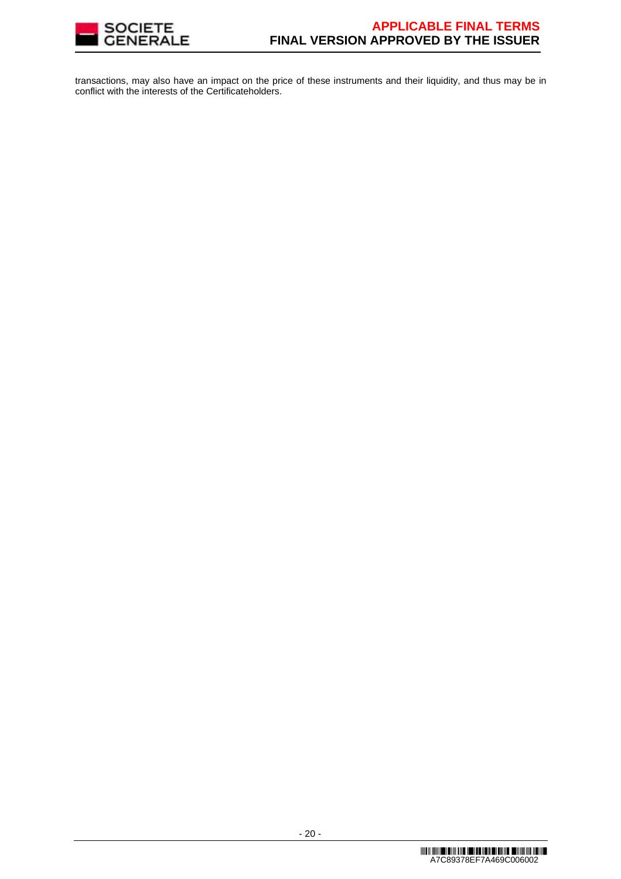

transactions, may also have an impact on the price of these instruments and their liquidity, and thus may be in conflict with the interests of the Certificateholders.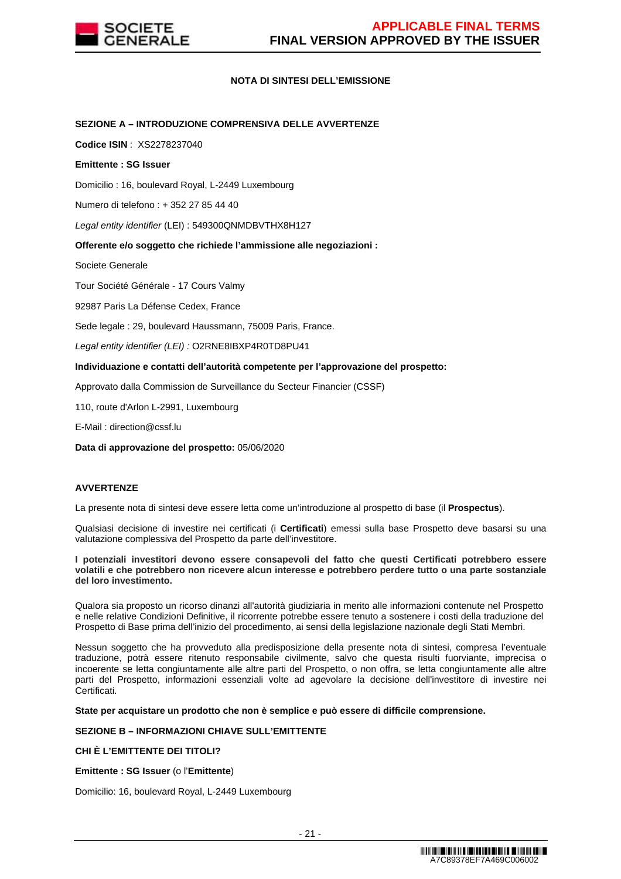

### **NOTA DI SINTESI DELL'EMISSIONE**

### **SEZIONE A – INTRODUZIONE COMPRENSIVA DELLE AVVERTENZE**

**Codice ISIN** : XS2278237040

### **Emittente : SG Issuer**

Domicilio : 16, boulevard Royal, L-2449 Luxembourg

Numero di telefono : + 352 27 85 44 40

Legal entity identifier (LEI) : 549300QNMDBVTHX8H127

### **Offerente e/o soggetto che richiede l'ammissione alle negoziazioni :**

Societe Generale

Tour Société Générale - 17 Cours Valmy

92987 Paris La Défense Cedex, France

Sede legale : 29, boulevard Haussmann, 75009 Paris, France.

Legal entity identifier (LEI) : O2RNE8IBXP4R0TD8PU41

### **Individuazione e contatti dell'autorità competente per l'approvazione del prospetto:**

Approvato dalla Commission de Surveillance du Secteur Financier (CSSF)

110, route d'Arlon L-2991, Luxembourg

E-Mail : direction@cssf.lu

**Data di approvazione del prospetto:** 05/06/2020

# **AVVERTENZE**

La presente nota di sintesi deve essere letta come un'introduzione al prospetto di base (il **Prospectus**).

Qualsiasi decisione di investire nei certificati (i **Certificati**) emessi sulla base Prospetto deve basarsi su una valutazione complessiva del Prospetto da parte dell'investitore.

#### **I potenziali investitori devono essere consapevoli del fatto che questi Certificati potrebbero essere volatili e che potrebbero non ricevere alcun interesse e potrebbero perdere tutto o una parte sostanziale del loro investimento.**

Qualora sia proposto un ricorso dinanzi all'autorità giudiziaria in merito alle informazioni contenute nel Prospetto e nelle relative Condizioni Definitive, il ricorrente potrebbe essere tenuto a sostenere i costi della traduzione del Prospetto di Base prima dell'inizio del procedimento, ai sensi della legislazione nazionale degli Stati Membri.

Nessun soggetto che ha provveduto alla predisposizione della presente nota di sintesi, compresa l'eventuale traduzione, potrà essere ritenuto responsabile civilmente, salvo che questa risulti fuorviante, imprecisa o incoerente se letta congiuntamente alle altre parti del Prospetto, o non offra, se letta congiuntamente alle altre parti del Prospetto, informazioni essenziali volte ad agevolare la decisione dell'investitore di investire nei Certificati.

#### **State per acquistare un prodotto che non è semplice e può essere di difficile comprensione.**

### **SEZIONE B – INFORMAZIONI CHIAVE SULL'EMITTENTE**

# **CHI È L'EMITTENTE DEI TITOLI?**

**Emittente : SG Issuer** (o l'**Emittente**)

Domicilio: 16, boulevard Royal, L-2449 Luxembourg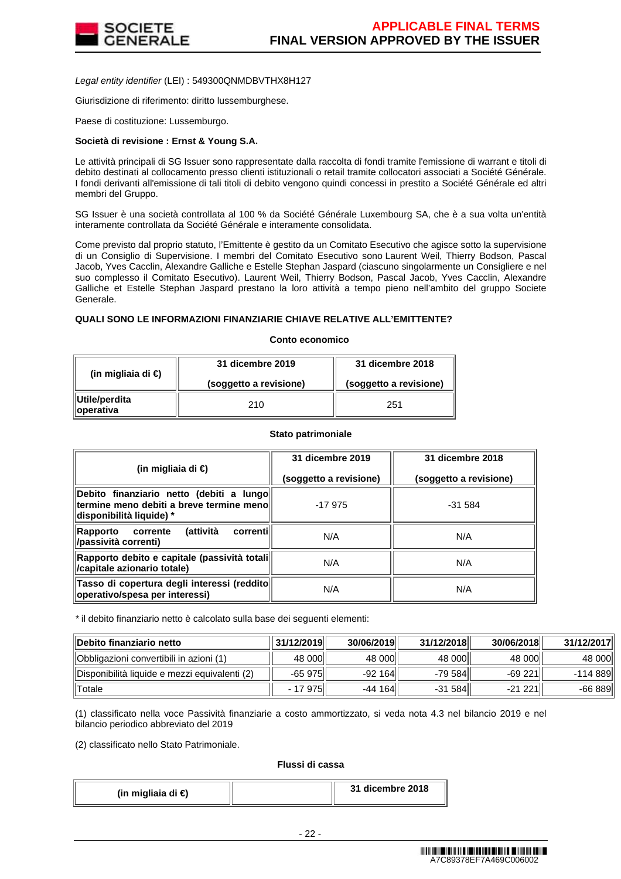

Legal entity identifier (LEI) : 549300QNMDBVTHX8H127

Giurisdizione di riferimento: diritto lussemburghese.

Paese di costituzione: Lussemburgo.

### **Società di revisione : Ernst & Young S.A.**

Le attività principali di SG Issuer sono rappresentate dalla raccolta di fondi tramite l'emissione di warrant e titoli di debito destinati al collocamento presso clienti istituzionali o retail tramite collocatori associati a Société Générale. I fondi derivanti all'emissione di tali titoli di debito vengono quindi concessi in prestito a Société Générale ed altri membri del Gruppo.

SG Issuer è una società controllata al 100 % da Société Générale Luxembourg SA, che è a sua volta un'entità interamente controllata da Société Générale e interamente consolidata.

Come previsto dal proprio statuto, l'Emittente è gestito da un Comitato Esecutivo che agisce sotto la supervisione di un Consiglio di Supervisione. I membri del Comitato Esecutivo sono Laurent Weil, Thierry Bodson, Pascal Jacob, Yves Cacclin, Alexandre Galliche e Estelle Stephan Jaspard (ciascuno singolarmente un Consigliere e nel suo complesso il Comitato Esecutivo). Laurent Weil, Thierry Bodson, Pascal Jacob, Yves Cacclin, Alexandre Galliche et Estelle Stephan Jaspard prestano la loro attività a tempo pieno nell'ambito del gruppo Societe Generale.

### **QUALI SONO LE INFORMAZIONI FINANZIARIE CHIAVE RELATIVE ALL'EMITTENTE?**

#### **Conto economico**

| (in migliaia di $\epsilon$ ) | 31 dicembre 2019       | 31 dicembre 2018       |  |
|------------------------------|------------------------|------------------------|--|
|                              | (soggetto a revisione) | (soggetto a revisione) |  |
| Utile/perdita<br>∥operativa  | 210                    | 251                    |  |

#### **Stato patrimoniale**

| (in migliaia di €)                                                                                                 | 31 dicembre 2019       | 31 dicembre 2018       |
|--------------------------------------------------------------------------------------------------------------------|------------------------|------------------------|
|                                                                                                                    | (soggetto a revisione) | (soggetto a revisione) |
| Debito finanziario netto (debiti a lungo<br>termine meno debiti a breve termine meno l<br>disponibilità liquide) * | $-17975$               | $-31.584$              |
| (attività<br>correntil<br>Rapporto<br>corrente<br>/passività correnti)                                             | N/A                    | N/A                    |
| Rapporto debito e capitale (passività totali  <br>/capitale azionario totale)                                      | N/A                    | N/A                    |
| Tasso di copertura degli interessi (reddito<br>operativo/spesa per interessi)                                      | N/A                    | N/A                    |

\* il debito finanziario netto è calcolato sulla base dei seguenti elementi:

| Debito finanziario netto                      | 31/12/2019 | 30/06/2019 | 31/12/2018 | 30/06/2018 | 31/12/2017 |
|-----------------------------------------------|------------|------------|------------|------------|------------|
| Obbligazioni convertibili in azioni (1)       | 48 000     | 48 000     | 48 000     | 48 000     | 48 000l    |
| Disponibilità liquide e mezzi equivalenti (2) | $-65975$   | $-92164$   | -79 584    | $-69221$   | -114 889l  |
| <b>Totale</b>                                 | - 17 975   | $-44164$   | $-31584$   | $-21221$   | -66 889    |

(1) classificato nella voce Passività finanziarie a costo ammortizzato, si veda nota 4.3 nel bilancio 2019 e nel bilancio periodico abbreviato del 2019

(2) classificato nello Stato Patrimoniale.

#### **Flussi di cassa**

| (in migliaia di €) | 31 dicembre 2018 |
|--------------------|------------------|
|--------------------|------------------|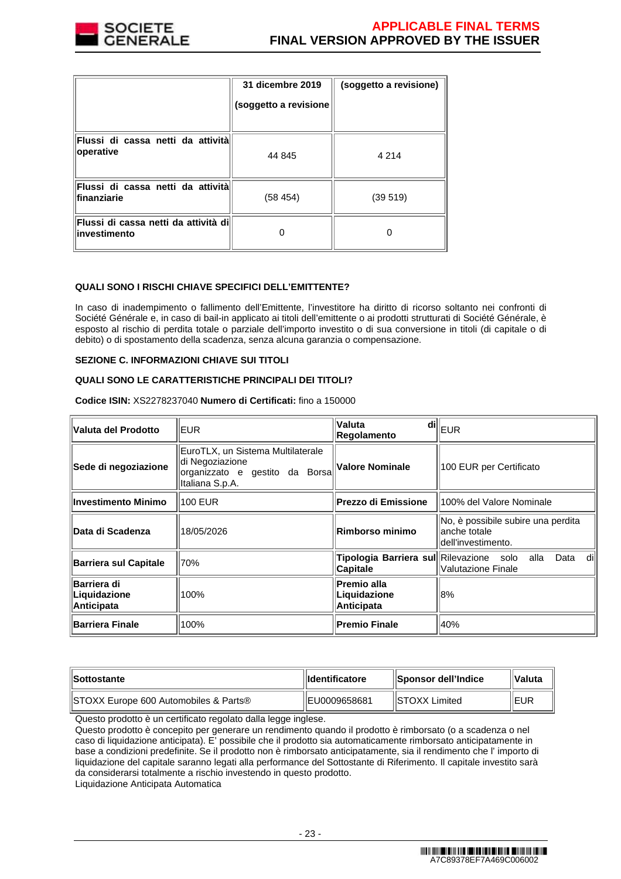

|                                                       | 31 dicembre 2019<br>(soggetto a revisione | (soggetto a revisione) |
|-------------------------------------------------------|-------------------------------------------|------------------------|
| Flussi di cassa netti da attività<br>operative        | 44 845                                    | 4 2 1 4                |
| Flussi di cassa netti da attività<br>finanziarie      | (58 454)                                  | (39519)                |
| Flussi di cassa netti da attività dil<br>investimento |                                           |                        |

# **QUALI SONO I RISCHI CHIAVE SPECIFICI DELL'EMITTENTE?**

In caso di inadempimento o fallimento dell'Emittente, l'investitore ha diritto di ricorso soltanto nei confronti di Société Générale e, in caso di bail-in applicato ai titoli dell'emittente o ai prodotti strutturati di Société Générale, è esposto al rischio di perdita totale o parziale dell'importo investito o di sua conversione in titoli (di capitale o di debito) o di spostamento della scadenza, senza alcuna garanzia o compensazione.

#### **SEZIONE C. INFORMAZIONI CHIAVE SUI TITOLI**

### **QUALI SONO LE CARATTERISTICHE PRINCIPALI DEI TITOLI?**

**Codice ISIN:** XS2278237040 **Numero di Certificati:** fino a 150000

| Valuta del Prodotto                              | <b>EUR</b>                                                                                                | di∥<br><b>Valuta</b><br><b>Regolamento</b>          | EUR                                                                      |
|--------------------------------------------------|-----------------------------------------------------------------------------------------------------------|-----------------------------------------------------|--------------------------------------------------------------------------|
| Sede di negoziazione                             | EuroTLX, un Sistema Multilaterale<br>di Negoziazione<br>organizzato e gestito da Borsa<br>Italiana S.p.A. | Valore Nominale                                     | 100 EUR per Certificato                                                  |
| <b>Investimento Minimo</b>                       | 100 EUR                                                                                                   | <b>Prezzo di Emissione</b>                          | 100% del Valore Nominale                                                 |
| Data di Scadenza                                 | 18/05/2026                                                                                                | Rimborso minimo                                     | No, è possibile subire una perdita<br>anche totale<br>dell'investimento. |
| <b>Barriera sul Capitale</b>                     | 70%                                                                                                       | Tipologia Barriera sul Rilevazione solo<br>Capitale | dil<br>alla<br>Data<br>Valutazione Finale                                |
| Barriera di<br>Liquidazione<br><b>Anticipata</b> | 100%                                                                                                      | Premio alla<br>Liquidazione<br>Anticipata           | 8%                                                                       |
| <b>Barriera Finale</b>                           | 100%                                                                                                      | <b>Premio Finale</b>                                | 40%                                                                      |

| <b>Sottostante</b>                    | <b>Ildentificatore</b> | <b>ISponsor dell'Indice</b> | ∣∣Valuta |
|---------------------------------------|------------------------|-----------------------------|----------|
| STOXX Europe 600 Automobiles & Parts® | IEU0009658681          | IISTOXX Limited             | ∥EUR     |

Questo prodotto è un certificato regolato dalla legge inglese.

Questo prodotto è concepito per generare un rendimento quando il prodotto è rimborsato (o a scadenza o nel caso di liquidazione anticipata). E' possibile che il prodotto sia automaticamente rimborsato anticipatamente in base a condizioni predefinite. Se il prodotto non è rimborsato anticipatamente, sia il rendimento che l' importo di liquidazione del capitale saranno legati alla performance del Sottostante di Riferimento. Il capitale investito sarà da considerarsi totalmente a rischio investendo in questo prodotto.

Liquidazione Anticipata Automatica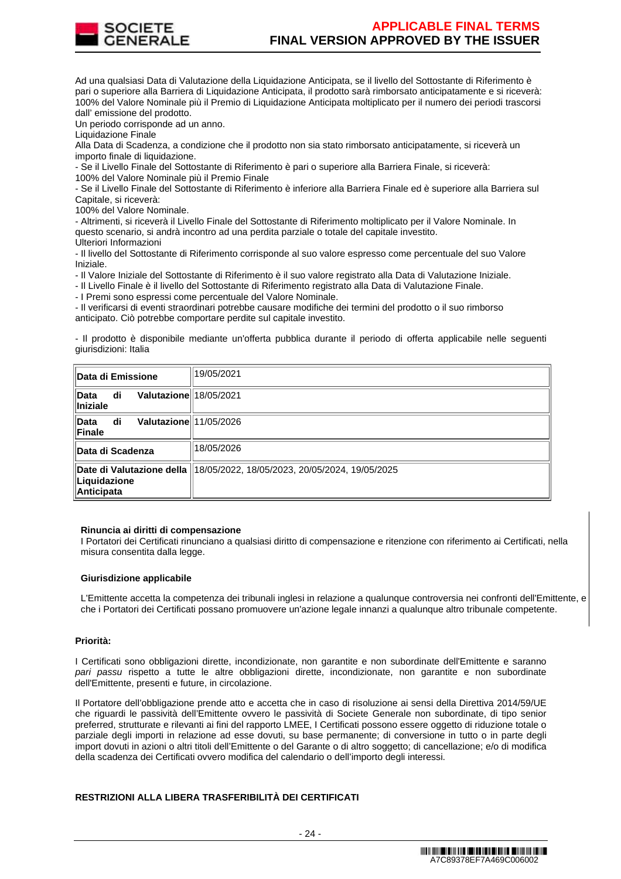

Ad una qualsiasi Data di Valutazione della Liquidazione Anticipata, se il livello del Sottostante di Riferimento è pari o superiore alla Barriera di Liquidazione Anticipata, il prodotto sarà rimborsato anticipatamente e si riceverà: 100% del Valore Nominale più il Premio di Liquidazione Anticipata moltiplicato per il numero dei periodi trascorsi dall' emissione del prodotto.

Un periodo corrisponde ad un anno.

Liquidazione Finale

Alla Data di Scadenza, a condizione che il prodotto non sia stato rimborsato anticipatamente, si riceverà un importo finale di liquidazione.

- Se il Livello Finale del Sottostante di Riferimento è pari o superiore alla Barriera Finale, si riceverà:

100% del Valore Nominale più il Premio Finale

- Se il Livello Finale del Sottostante di Riferimento è inferiore alla Barriera Finale ed è superiore alla Barriera sul Capitale, si riceverà:

100% del Valore Nominale.

- Altrimenti, si riceverà il Livello Finale del Sottostante di Riferimento moltiplicato per il Valore Nominale. In questo scenario, si andrà incontro ad una perdita parziale o totale del capitale investito. Ulteriori Informazioni

- Il livello del Sottostante di Riferimento corrisponde al suo valore espresso come percentuale del suo Valore Iniziale.

- Il Valore Iniziale del Sottostante di Riferimento è il suo valore registrato alla Data di Valutazione Iniziale.

- Il Livello Finale è il livello del Sottostante di Riferimento registrato alla Data di Valutazione Finale.

- I Premi sono espressi come percentuale del Valore Nominale.

- Il verificarsi di eventi straordinari potrebbe causare modifiche dei termini del prodotto o il suo rimborso anticipato. Ciò potrebbe comportare perdite sul capitale investito.

- Il prodotto è disponibile mediante un'offerta pubblica durante il periodo di offerta applicabile nelle seguenti giurisdizioni: Italia

| ∥Data di Emissione                                      | 19/05/2021                                                                 |
|---------------------------------------------------------|----------------------------------------------------------------------------|
| ∥Data<br>Valutazione 18/05/2021<br>di<br>$\ $ Iniziale  |                                                                            |
| ∥Data<br>Valutazione 11/05/2026<br>di<br><b>∣Finale</b> |                                                                            |
| ∥Data di Scadenza                                       | 18/05/2026                                                                 |
| Liquidazione<br>Anticipata                              | Date di Valutazione della   18/05/2022, 18/05/2023, 20/05/2024, 19/05/2025 |

#### **Rinuncia ai diritti di compensazione**

I Portatori dei Certificati rinunciano a qualsiasi diritto di compensazione e ritenzione con riferimento ai Certificati, nella misura consentita dalla legge.

### **Giurisdizione applicabile**

L'Emittente accetta la competenza dei tribunali inglesi in relazione a qualunque controversia nei confronti dell'Emittente, e che i Portatori dei Certificati possano promuovere un'azione legale innanzi a qualunque altro tribunale competente.

#### **Priorità:**

I Certificati sono obbligazioni dirette, incondizionate, non garantite e non subordinate dell'Emittente e saranno pari passu rispetto a tutte le altre obbligazioni dirette, incondizionate, non garantite e non subordinate dell'Emittente, presenti e future, in circolazione.

Il Portatore dell'obbligazione prende atto e accetta che in caso di risoluzione ai sensi della Direttiva 2014/59/UE che riguardi le passività dell'Emittente ovvero le passività di Societe Generale non subordinate, di tipo senior preferred, strutturate e rilevanti ai fini del rapporto LMEE, I Certificati possono essere oggetto di riduzione totale o parziale degli importi in relazione ad esse dovuti, su base permanente; di conversione in tutto o in parte degli import dovuti in azioni o altri titoli dell'Emittente o del Garante o di altro soggetto; di cancellazione; e/o di modifica della scadenza dei Certificati ovvero modifica del calendario o dell'importo degli interessi.

# **RESTRIZIONI ALLA LIBERA TRASFERIBILITÀ DEI CERTIFICATI**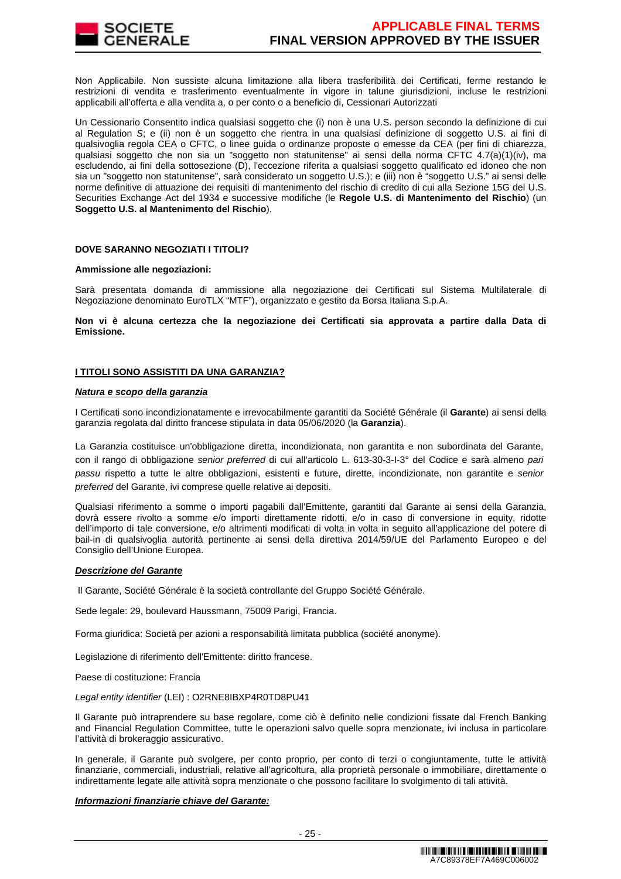

Non Applicabile. Non sussiste alcuna limitazione alla libera trasferibilità dei Certificati, ferme restando le restrizioni di vendita e trasferimento eventualmente in vigore in talune giurisdizioni, incluse le restrizioni applicabili all'offerta e alla vendita a, o per conto o a beneficio di, Cessionari Autorizzati

Un Cessionario Consentito indica qualsiasi soggetto che (i) non è una U.S. person secondo la definizione di cui al Regulation S; e (ii) non è un soggetto che rientra in una qualsiasi definizione di soggetto U.S. ai fini di qualsivoglia regola CEA o CFTC, o linee guida o ordinanze proposte o emesse da CEA (per fini di chiarezza, qualsiasi soggetto che non sia un "soggetto non statunitense" ai sensi della norma CFTC 4.7(a)(1)(iv), ma escludendo, ai fini della sottosezione (D), l'eccezione riferita a qualsiasi soggetto qualificato ed idoneo che non sia un "soggetto non statunitense", sarà considerato un soggetto U.S.); e (iii) non è "soggetto U.S." ai sensi delle norme definitive di attuazione dei requisiti di mantenimento del rischio di credito di cui alla Sezione 15G del U.S. Securities Exchange Act del 1934 e successive modifiche (le **Regole U.S. di Mantenimento del Rischio**) (un **Soggetto U.S. al Mantenimento del Rischio**).

### **DOVE SARANNO NEGOZIATI I TITOLI?**

#### **Ammissione alle negoziazioni:**

Sarà presentata domanda di ammissione alla negoziazione dei Certificati sul Sistema Multilaterale di Negoziazione denominato EuroTLX "MTF"), organizzato e gestito da Borsa Italiana S.p.A.

**Non vi è alcuna certezza che la negoziazione dei Certificati sia approvata a partire dalla Data di Emissione.**

### **I TITOLI SONO ASSISTITI DA UNA GARANZIA?**

### **Natura e scopo della garanzia**

I Certificati sono incondizionatamente e irrevocabilmente garantiti da Société Générale (il **Garante**) ai sensi della garanzia regolata dal diritto francese stipulata in data 05/06/2020 (la **Garanzia**).

La Garanzia costituisce un'obbligazione diretta, incondizionata, non garantita e non subordinata del Garante, con il rango di obbligazione senior preferred di cui all'articolo L. 613-30-3-I-3° del Codice e sarà almeno pari passu rispetto a tutte le altre obbligazioni, esistenti e future, dirette, incondizionate, non garantite e senior preferred del Garante, ivi comprese quelle relative ai depositi.

Qualsiasi riferimento a somme o importi pagabili dall'Emittente, garantiti dal Garante ai sensi della Garanzia, dovrà essere rivolto a somme e/o importi direttamente ridotti, e/o in caso di conversione in equity, ridotte dell'importo di tale conversione, e/o altrimenti modificati di volta in volta in seguito all'applicazione del potere di bail-in di qualsivoglia autorità pertinente ai sensi della direttiva 2014/59/UE del Parlamento Europeo e del Consiglio dell'Unione Europea.

#### **Descrizione del Garante**

Il Garante, Société Générale è la società controllante del Gruppo Société Générale.

Sede legale: 29, boulevard Haussmann, 75009 Parigi, Francia.

Forma giuridica: Società per azioni a responsabilità limitata pubblica (société anonyme).

Legislazione di riferimento dell'Emittente: diritto francese.

Paese di costituzione: Francia

Legal entity identifier (LEI) : O2RNE8IBXP4R0TD8PU41

Il Garante può intraprendere su base regolare, come ciò è definito nelle condizioni fissate dal French Banking and Financial Regulation Committee, tutte le operazioni salvo quelle sopra menzionate, ivi inclusa in particolare l'attività di brokeraggio assicurativo.

In generale, il Garante può svolgere, per conto proprio, per conto di terzi o congiuntamente, tutte le attività finanziarie, commerciali, industriali, relative all'agricoltura, alla proprietà personale o immobiliare, direttamente o indirettamente legate alle attività sopra menzionate o che possono facilitare lo svolgimento di tali attività.

#### **Informazioni finanziarie chiave del Garante:**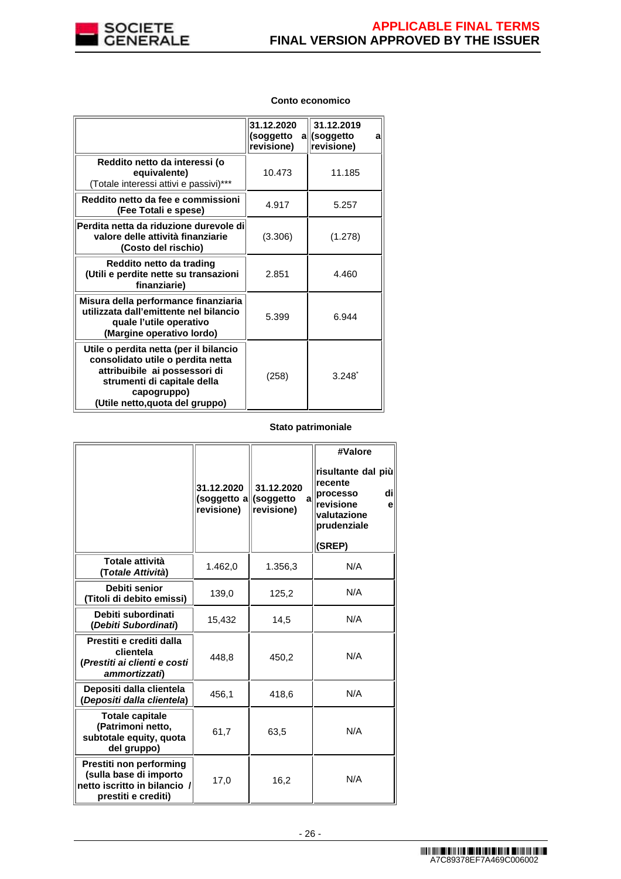

# **Conto economico**

|                                                                                                                                                                                               | 31.12.2020<br>(soggetto<br>revisione) | 31.12.2019<br>a  (soggetto<br>a<br>revisione) |
|-----------------------------------------------------------------------------------------------------------------------------------------------------------------------------------------------|---------------------------------------|-----------------------------------------------|
| Reddito netto da interessi (o<br>equivalente)<br>(Totale interessi attivi e passivi)***                                                                                                       | 10.473                                | 11.185                                        |
| Reddito netto da fee e commissioni<br>(Fee Totali e spese)                                                                                                                                    | 4.917                                 | 5.257                                         |
| Perdita netta da riduzione durevole di<br>valore delle attività finanziarie<br>(Costo del rischio)                                                                                            | (3.306)                               | (1.278)                                       |
| Reddito netto da trading<br>(Utili e perdite nette su transazioni<br>finanziarie)                                                                                                             | 2.851                                 | 4.460                                         |
| Misura della performance finanziaria<br>utilizzata dall'emittente nel bilancio<br>quale l'utile operativo<br>(Margine operativo lordo)                                                        | 5.399                                 | 6.944                                         |
| Utile o perdita netta (per il bilancio<br>consolidato utile o perdita netta<br>attribuibile ai possessori di<br>strumenti di capitale della<br>capogruppo)<br>(Utile netto, quota del gruppo) | (258)                                 | $3.248$ <sup>*</sup>                          |

### **Stato patrimoniale**

|                                                                                                          | 31.12.2020<br>(soggetto a  (soggetto<br>revisione) | 31.12.2020<br>a<br>revisione) | #Valore<br>risultante dal più<br>recente<br>dil<br>processo<br>revisione<br>e<br>valutazione<br>prudenziale<br>(SREP) |
|----------------------------------------------------------------------------------------------------------|----------------------------------------------------|-------------------------------|-----------------------------------------------------------------------------------------------------------------------|
| Totale attività<br>(Totale Attività)                                                                     | 1.462,0                                            | 1.356,3                       | N/A                                                                                                                   |
| Debiti senior<br>(Titoli di debito emissi)                                                               | 139,0                                              | 125,2                         | N/A                                                                                                                   |
| Debiti subordinati<br>(Debiti Subordinati)                                                               | 15,432                                             | 14,5                          | N/A                                                                                                                   |
| Prestiti e crediti dalla<br>clientela<br>(Prestiti ai clienti e costi<br>ammortizzati)                   | 448,8                                              | 450,2                         | N/A                                                                                                                   |
| Depositi dalla clientela<br>(Depositi dalla clientela)                                                   | 456,1                                              | 418,6                         | N/A                                                                                                                   |
| <b>Totale capitale</b><br>(Patrimoni netto,<br>subtotale equity, quota<br>del gruppo)                    | 61,7                                               | 63,5                          | N/A                                                                                                                   |
| Prestiti non performing<br>(sulla base di importo<br>netto iscritto in bilancio /<br>prestiti e crediti) | 17,0                                               | 16,2                          | N/A                                                                                                                   |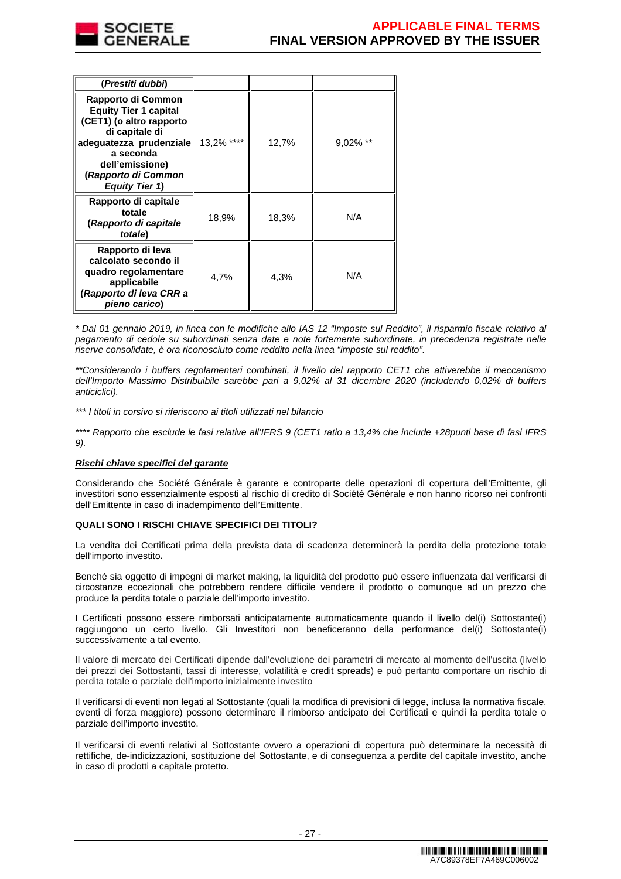

| (Prestiti dubbi)                                                                                                                                                                                            |            |       |             |
|-------------------------------------------------------------------------------------------------------------------------------------------------------------------------------------------------------------|------------|-------|-------------|
| Rapporto di Common<br><b>Equity Tier 1 capital</b><br>(CET1) (o altro rapporto<br>di capitale di<br>adequatezza prudenziale<br>a seconda<br>dell'emissione)<br>(Rapporto di Common<br><b>Equity Tier 1)</b> | 13,2% **** | 12,7% | $9.02\%$ ** |
| Rapporto di capitale<br>totale<br>(Rapporto di capitale<br>totale)                                                                                                                                          | 18,9%      | 18,3% | N/A         |
| Rapporto di leva<br>calcolato secondo il<br>quadro regolamentare<br>applicabile<br>(Rapporto di leva CRR a<br>pieno carico)                                                                                 | 4,7%       | 4,3%  | N/A         |

\* Dal 01 gennaio 2019, in linea con le modifiche allo IAS 12 "Imposte sul Reddito", il risparmio fiscale relativo al pagamento di cedole su subordinati senza date e note fortemente subordinate, in precedenza registrate nelle riserve consolidate, è ora riconosciuto come reddito nella linea "imposte sul reddito".

\*\*Considerando i buffers regolamentari combinati, il livello del rapporto CET1 che attiverebbe il meccanismo dell'Importo Massimo Distribuibile sarebbe pari a 9,02% al 31 dicembre 2020 (includendo 0,02% di buffers anticiclici).

\*\*\* I titoli in corsivo si riferiscono ai titoli utilizzati nel bilancio

\*\*\*\* Rapporto che esclude le fasi relative all'IFRS 9 (CET1 ratio a 13,4% che include +28punti base di fasi IFRS 9).

# **Rischi chiave specifici del garante**

Considerando che Société Générale è garante e controparte delle operazioni di copertura dell'Emittente, gli investitori sono essenzialmente esposti al rischio di credito di Société Générale e non hanno ricorso nei confronti dell'Emittente in caso di inadempimento dell'Emittente.

# **QUALI SONO I RISCHI CHIAVE SPECIFICI DEI TITOLI?**

La vendita dei Certificati prima della prevista data di scadenza determinerà la perdita della protezione totale dell'importo investito**.**

Benché sia oggetto di impegni di market making, la liquidità del prodotto può essere influenzata dal verificarsi di circostanze eccezionali che potrebbero rendere difficile vendere il prodotto o comunque ad un prezzo che produce la perdita totale o parziale dell'importo investito.

I Certificati possono essere rimborsati anticipatamente automaticamente quando il livello del(i) Sottostante(i) raggiungono un certo livello. Gli Investitori non beneficeranno della performance del(i) Sottostante(i) successivamente a tal evento.

Il valore di mercato dei Certificati dipende dall'evoluzione dei parametri di mercato al momento dell'uscita (livello dei prezzi dei Sottostanti, tassi di interesse, volatilità e credit spreads) e può pertanto comportare un rischio di perdita totale o parziale dell'importo inizialmente investito

Il verificarsi di eventi non legati al Sottostante (quali la modifica di previsioni di legge, inclusa la normativa fiscale, eventi di forza maggiore) possono determinare il rimborso anticipato dei Certificati e quindi la perdita totale o parziale dell'importo investito.

Il verificarsi di eventi relativi al Sottostante ovvero a operazioni di copertura può determinare la necessità di rettifiche, de-indicizzazioni, sostituzione del Sottostante, e di conseguenza a perdite del capitale investito, anche in caso di prodotti a capitale protetto.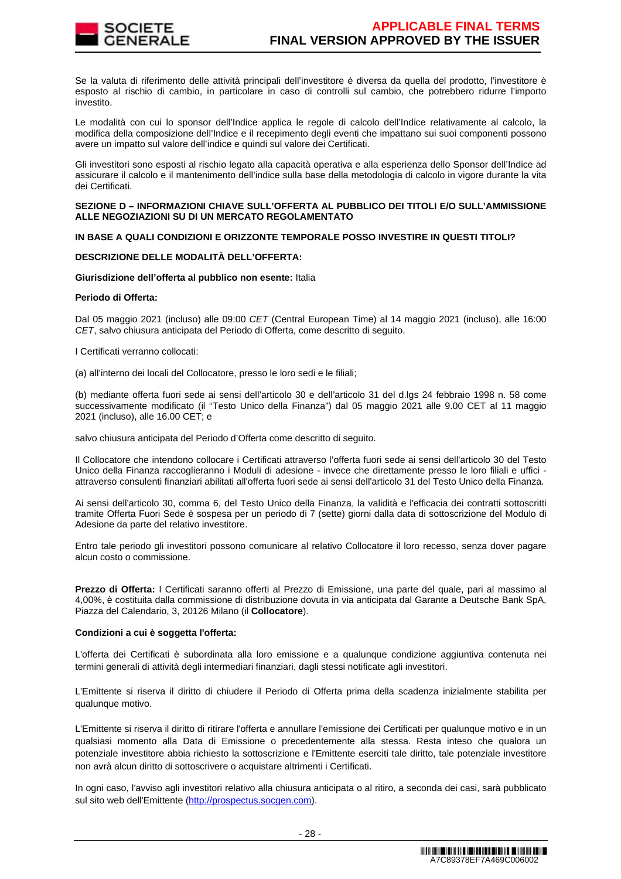

Se la valuta di riferimento delle attività principali dell'investitore è diversa da quella del prodotto, l'investitore è esposto al rischio di cambio, in particolare in caso di controlli sul cambio, che potrebbero ridurre l'importo investito.

Le modalità con cui lo sponsor dell'Indice applica le regole di calcolo dell'Indice relativamente al calcolo, la modifica della composizione dell'Indice e il recepimento degli eventi che impattano sui suoi componenti possono avere un impatto sul valore dell'indice e quindi sul valore dei Certificati.

Gli investitori sono esposti al rischio legato alla capacità operativa e alla esperienza dello Sponsor dell'Indice ad assicurare il calcolo e il mantenimento dell'indice sulla base della metodologia di calcolo in vigore durante la vita dei Certificati.

#### **SEZIONE D – INFORMAZIONI CHIAVE SULL'OFFERTA AL PUBBLICO DEI TITOLI E/O SULL'AMMISSIONE ALLE NEGOZIAZIONI SU DI UN MERCATO REGOLAMENTATO**

### **IN BASE A QUALI CONDIZIONI E ORIZZONTE TEMPORALE POSSO INVESTIRE IN QUESTI TITOLI?**

### **DESCRIZIONE DELLE MODALITÀ DELL'OFFERTA:**

### **Giurisdizione dell'offerta al pubblico non esente:** Italia

### **Periodo di Offerta:**

Dal 05 maggio 2021 (incluso) alle 09:00 CET (Central European Time) al 14 maggio 2021 (incluso), alle 16:00 CET, salvo chiusura anticipata del Periodo di Offerta, come descritto di seguito.

I Certificati verranno collocati:

(a) all'interno dei locali del Collocatore, presso le loro sedi e le filiali;

(b) mediante offerta fuori sede ai sensi dell'articolo 30 e dell'articolo 31 del d.lgs 24 febbraio 1998 n. 58 come successivamente modificato (il "Testo Unico della Finanza") dal 05 maggio 2021 alle 9.00 CET al 11 maggio 2021 (incluso), alle 16.00 CET; e

salvo chiusura anticipata del Periodo d'Offerta come descritto di seguito.

Il Collocatore che intendono collocare i Certificati attraverso l'offerta fuori sede ai sensi dell'articolo 30 del Testo Unico della Finanza raccoglieranno i Moduli di adesione - invece che direttamente presso le loro filiali e uffici attraverso consulenti finanziari abilitati all'offerta fuori sede ai sensi dell'articolo 31 del Testo Unico della Finanza.

Ai sensi dell'articolo 30, comma 6, del Testo Unico della Finanza, la validità e l'efficacia dei contratti sottoscritti tramite Offerta Fuori Sede è sospesa per un periodo di 7 (sette) giorni dalla data di sottoscrizione del Modulo di Adesione da parte del relativo investitore.

Entro tale periodo gli investitori possono comunicare al relativo Collocatore il loro recesso, senza dover pagare alcun costo o commissione.

**Prezzo di Offerta:** I Certificati saranno offerti al Prezzo di Emissione, una parte del quale, pari al massimo al 4,00%, è costituita dalla commissione di distribuzione dovuta in via anticipata dal Garante a Deutsche Bank SpA, Piazza del Calendario, 3, 20126 Milano (il **Collocatore**).

#### **Condizioni a cui è soggetta l'offerta:**

L'offerta dei Certificati è subordinata alla loro emissione e a qualunque condizione aggiuntiva contenuta nei termini generali di attività degli intermediari finanziari, dagli stessi notificate agli investitori.

L'Emittente si riserva il diritto di chiudere il Periodo di Offerta prima della scadenza inizialmente stabilita per qualunque motivo.

L'Emittente si riserva il diritto di ritirare l'offerta e annullare l'emissione dei Certificati per qualunque motivo e in un qualsiasi momento alla Data di Emissione o precedentemente alla stessa. Resta inteso che qualora un potenziale investitore abbia richiesto la sottoscrizione e l'Emittente eserciti tale diritto, tale potenziale investitore non avrà alcun diritto di sottoscrivere o acquistare altrimenti i Certificati.

In ogni caso, l'avviso agli investitori relativo alla chiusura anticipata o al ritiro, a seconda dei casi, sarà pubblicato sul sito web dell'Emittente (http://prospectus.socgen.com).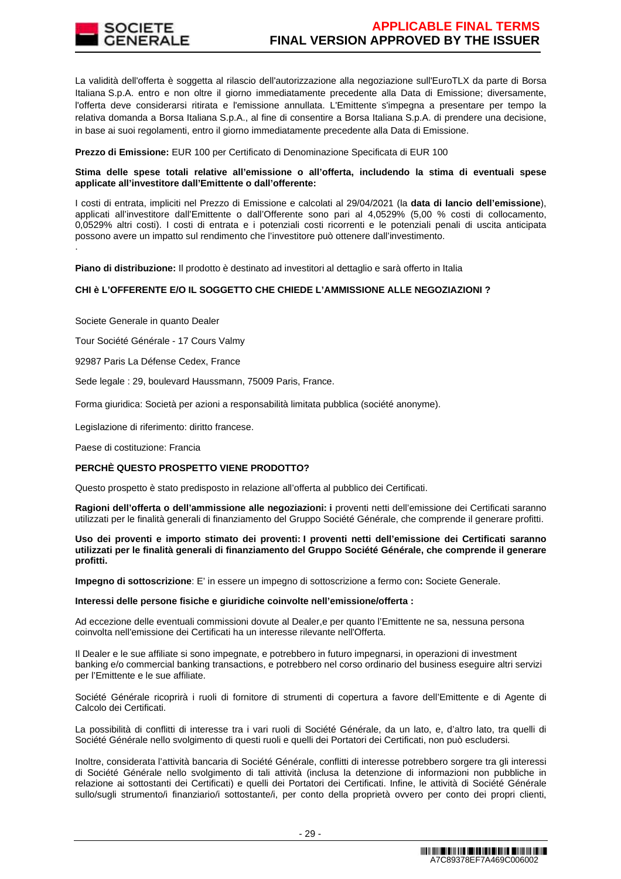

La validità dell'offerta è soggetta al rilascio dell'autorizzazione alla negoziazione sull'EuroTLX da parte di Borsa Italiana S.p.A. entro e non oltre il giorno immediatamente precedente alla Data di Emissione; diversamente, l'offerta deve considerarsi ritirata e l'emissione annullata. L'Emittente s'impegna a presentare per tempo la relativa domanda a Borsa Italiana S.p.A., al fine di consentire a Borsa Italiana S.p.A. di prendere una decisione, in base ai suoi regolamenti, entro il giorno immediatamente precedente alla Data di Emissione.

**Prezzo di Emissione:** EUR 100 per Certificato di Denominazione Specificata di EUR 100

### **Stima delle spese totali relative all'emissione o all'offerta, includendo la stima di eventuali spese applicate all'investitore dall'Emittente o dall'offerente:**

I costi di entrata, impliciti nel Prezzo di Emissione e calcolati al 29/04/2021 (la **data di lancio dell'emissione**), applicati all'investitore dall'Emittente o dall'Offerente sono pari al 4,0529% (5,00 % costi di collocamento, 0,0529% altri costi). I costi di entrata e i potenziali costi ricorrenti e le potenziali penali di uscita anticipata possono avere un impatto sul rendimento che l'investitore può ottenere dall'investimento. .

**Piano di distribuzione:** Il prodotto è destinato ad investitori al dettaglio e sarà offerto in Italia

# **CHI è L'OFFERENTE E/O IL SOGGETTO CHE CHIEDE L'AMMISSIONE ALLE NEGOZIAZIONI ?**

Societe Generale in quanto Dealer

Tour Société Générale - 17 Cours Valmy

92987 Paris La Défense Cedex, France

Sede legale : 29, boulevard Haussmann, 75009 Paris, France.

Forma giuridica: Società per azioni a responsabilità limitata pubblica (société anonyme).

Legislazione di riferimento: diritto francese.

Paese di costituzione: Francia

#### **PERCHÈ QUESTO PROSPETTO VIENE PRODOTTO?**

Questo prospetto è stato predisposto in relazione all'offerta al pubblico dei Certificati.

**Ragioni dell'offerta o dell'ammissione alle negoziazioni: i** proventi netti dell'emissione dei Certificati saranno utilizzati per le finalità generali di finanziamento del Gruppo Société Générale, che comprende il generare profitti.

**Uso dei proventi e importo stimato dei proventi: I proventi netti dell'emissione dei Certificati saranno utilizzati per le finalità generali di finanziamento del Gruppo Société Générale, che comprende il generare profitti.** 

**Impegno di sottoscrizione**: E' in essere un impegno di sottoscrizione a fermo con**:** Societe Generale.

#### **Interessi delle persone fisiche e giuridiche coinvolte nell'emissione/offerta :**

Ad eccezione delle eventuali commissioni dovute al Dealer,e per quanto l'Emittente ne sa, nessuna persona coinvolta nell'emissione dei Certificati ha un interesse rilevante nell'Offerta.

Il Dealer e le sue affiliate si sono impegnate, e potrebbero in futuro impegnarsi, in operazioni di investment banking e/o commercial banking transactions, e potrebbero nel corso ordinario del business eseguire altri servizi per l'Emittente e le sue affiliate.

Société Générale ricoprirà i ruoli di fornitore di strumenti di copertura a favore dell'Emittente e di Agente di Calcolo dei Certificati.

La possibilità di conflitti di interesse tra i vari ruoli di Société Générale, da un lato, e, d'altro lato, tra quelli di Société Générale nello svolgimento di questi ruoli e quelli dei Portatori dei Certificati, non può escludersi.

Inoltre, considerata l'attività bancaria di Société Générale, conflitti di interesse potrebbero sorgere tra gli interessi di Société Générale nello svolgimento di tali attività (inclusa la detenzione di informazioni non pubbliche in relazione ai sottostanti dei Certificati) e quelli dei Portatori dei Certificati. Infine, le attività di Société Générale sullo/sugli strumento/i finanziario/i sottostante/i, per conto della proprietà ovvero per conto dei propri clienti,